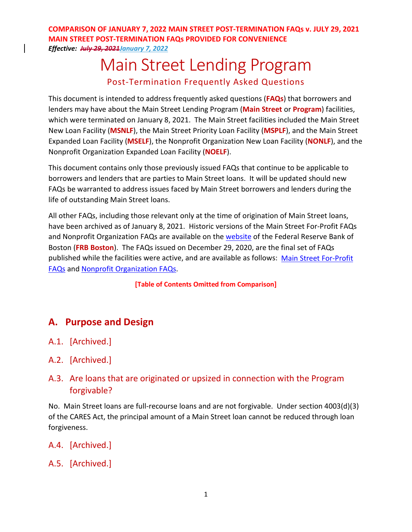# Main Street Lending Program Post-Termination Frequently Asked Questions

This document is intended to address frequently asked questions (**FAQs**) that borrowers and lenders may have about the Main Street Lending Program (**Main Street** or **Program**) facilities, which were terminated on January 8, 2021. The Main Street facilities included the Main Street New Loan Facility (**MSNLF**), the Main Street Priority Loan Facility (**MSPLF**), and the Main Street Expanded Loan Facility (**MSELF**), the Nonprofit Organization New Loan Facility (**NONLF**), and the Nonprofit Organization Expanded Loan Facility (**NOELF**).

This document contains only those previously issued FAQs that continue to be applicable to borrowers and lenders that are parties to Main Street loans. It will be updated should new FAQs be warranted to address issues faced by Main Street borrowers and lenders during the life of outstanding Main Street loans.

All other FAQs, including those relevant only at the time of origination of Main Street loans, have been archived as of January 8, 2021. Historic versions of the Main Street For-Profit FAQs and Nonprofit Organization FAQs are available on the [website](https://www.bostonfed.org/supervision-and-regulation/supervision/special-facilities/main-street-lending-program/information-for-lenders/docs.aspx) of the Federal Reserve Bank of Boston (**FRB Boston**). The FAQs issued on December 29, 2020, are the final set of FAQs published while the facilities were active, and are available as follows: [Main Street For-Profit](https://www.bostonfed.org/-/media/Documents/special-lending-facilities/mslp/legal/frequently-asked-questions-faqs.pdf?la=en)  [FAQs](https://www.bostonfed.org/-/media/Documents/special-lending-facilities/mslp/legal/frequently-asked-questions-faqs.pdf?la=en) and [Nonprofit Organization FAQs.](https://www.bostonfed.org/-/media/Documents/special-lending-facilities/mslp/legal/frequently-asked-questions-faqs-nonprofit.pdf?la=en)

**[Table of Contents Omitted from Comparison]**

## **A. Purpose and Design**

- A.1. [Archived.]
- A.2. [Archived.]

### A.3. Are loans that are originated or upsized in connection with the Program forgivable?

No. Main Street loans are full-recourse loans and are not forgivable. Under section 4003(d)(3) of the CARES Act, the principal amount of a Main Street loan cannot be reduced through loan forgiveness.

- A.4. [Archived.]
- A.5. [Archived.]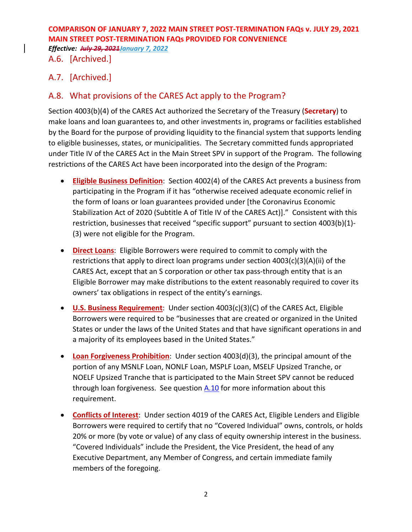*Effective: July 29, 2021January 7, 2022*

### A.6. [Archived.]

### A.7. [Archived.]

### A.8. What provisions of the CARES Act apply to the Program?

Section 4003(b)(4) of the CARES Act authorized the Secretary of the Treasury (**Secretary**) to make loans and loan guarantees to, and other investments in, programs or facilities established by the Board for the purpose of providing liquidity to the financial system that supports lending to eligible businesses, states, or municipalities. The Secretary committed funds appropriated under Title IV of the CARES Act in the Main Street SPV in support of the Program. The following restrictions of the CARES Act have been incorporated into the design of the Program:

- **Eligible Business Definition**: Section 4002(4) of the CARES Act prevents a business from participating in the Program if it has "otherwise received adequate economic relief in the form of loans or loan guarantees provided under [the Coronavirus Economic Stabilization Act of 2020 (Subtitle A of Title IV of the CARES Act)]." Consistent with this restriction, businesses that received "specific support" pursuant to section 4003(b)(1)- (3) were not eligible for the Program.
- **Direct Loans**: Eligible Borrowers were required to commit to comply with the restrictions that apply to direct loan programs under section 4003(c)(3)(A)(ii) of the CARES Act, except that an S corporation or other tax pass-through entity that is an Eligible Borrower may make distributions to the extent reasonably required to cover its owners' tax obligations in respect of the entity's earnings.
- **U.S. Business Requirement**: Under section 4003(c)(3)(C) of the CARES Act, Eligible Borrowers were required to be "businesses that are created or organized in the United States or under the laws of the United States and that have significant operations in and a majority of its employees based in the United States."
- **Loan Forgiveness Prohibition**: Under section 4003(d)(3), the principal amount of the portion of any MSNLF Loan, NONLF Loan, MSPLF Loan, MSELF Upsized Tranche, or NOELF Upsized Tranche that is participated to the Main Street SPV cannot be reduced through loan forgiveness. See question [A.10](#page-2-0) for more information about this requirement.
- **Conflicts of Interest**: Under section 4019 of the CARES Act, Eligible Lenders and Eligible Borrowers were required to certify that no "Covered Individual" owns, controls, or holds 20% or more (by vote or value) of any class of equity ownership interest in the business. "Covered Individuals" include the President, the Vice President, the head of any Executive Department, any Member of Congress, and certain immediate family members of the foregoing.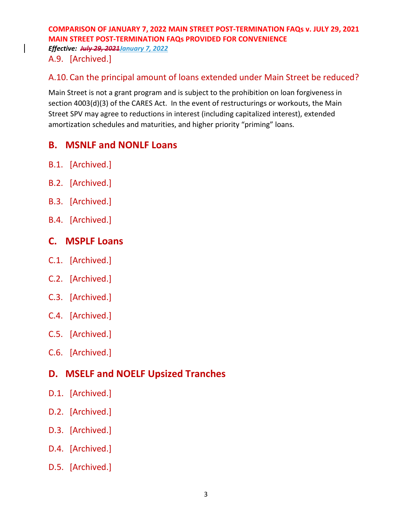*Effective: July 29, 2021January 7, 2022*

A.9. [Archived.]

### <span id="page-2-0"></span>A.10. Can the principal amount of loans extended under Main Street be reduced?

Main Street is not a grant program and is subject to the prohibition on loan forgiveness in section 4003(d)(3) of the CARES Act. In the event of restructurings or workouts, the Main Street SPV may agree to reductions in interest (including capitalized interest), extended amortization schedules and maturities, and higher priority "priming" loans.

## **B. MSNLF and NONLF Loans**

- B.1. [Archived.]
- B.2. [Archived.]
- B.3. [Archived.]
- B.4. [Archived.]

## **C. MSPLF Loans**

- C.1. [Archived.]
- C.2. [Archived.]
- C.3. [Archived.]
- C.4. [Archived.]
- C.5. [Archived.]
- C.6. [Archived.]

# **D. MSELF and NOELF Upsized Tranches**

- D.1. [Archived.]
- D.2. [Archived.]
- D.3. [Archived.]
- D.4. [Archived.]
- D.5. [Archived.]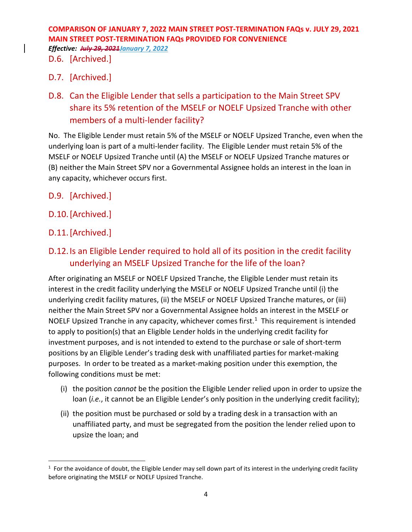*Effective: July 29, 2021January 7, 2022*

### D.6. [Archived.]

### D.7. [Archived.]

D.8. Can the Eligible Lender that sells a participation to the Main Street SPV share its 5% retention of the MSELF or NOELF Upsized Tranche with other members of a multi-lender facility?

No. The Eligible Lender must retain 5% of the MSELF or NOELF Upsized Tranche, even when the underlying loan is part of a multi-lender facility. The Eligible Lender must retain 5% of the MSELF or NOELF Upsized Tranche until (A) the MSELF or NOELF Upsized Tranche matures or (B) neither the Main Street SPV nor a Governmental Assignee holds an interest in the loan in any capacity, whichever occurs first.

- D.9. [Archived.]
- D.10.[Archived.]
- D.11.[Archived.]

## D.12.Is an Eligible Lender required to hold all of its position in the credit facility underlying an MSELF Upsized Tranche for the life of the loan?

After originating an MSELF or NOELF Upsized Tranche, the Eligible Lender must retain its interest in the credit facility underlying the MSELF or NOELF Upsized Tranche until (i) the underlying credit facility matures, (ii) the MSELF or NOELF Upsized Tranche matures, or (iii) neither the Main Street SPV nor a Governmental Assignee holds an interest in the MSELF or NOELF Upsized Tranche in any capacity, whichever comes first.<sup>1</sup> This requirement is intended to apply to position(s) that an Eligible Lender holds in the underlying credit facility for investment purposes, and is not intended to extend to the purchase or sale of short-term positions by an Eligible Lender's trading desk with unaffiliated parties for market-making purposes. In order to be treated as a market-making position under this exemption, the following conditions must be met:

- (i) the position *cannot* be the position the Eligible Lender relied upon in order to upsize the loan (*i.e.*, it cannot be an Eligible Lender's only position in the underlying credit facility);
- (ii) the position must be purchased or sold by a trading desk in a transaction with an unaffiliated party, and must be segregated from the position the lender relied upon to upsize the loan; and

<span id="page-3-0"></span> $1$  For the avoidance of doubt, the Eligible Lender may sell down part of its interest in the underlying credit facility before originating the MSELF or NOELF Upsized Tranche.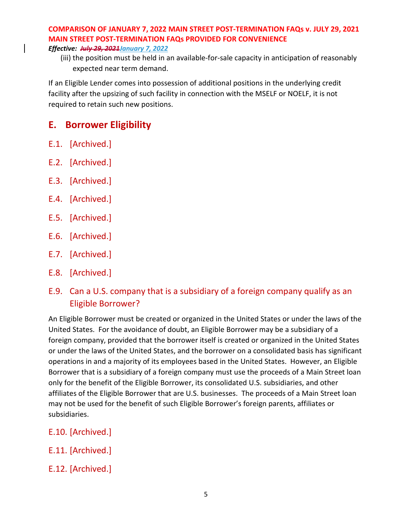#### *Effective: July 29, 2021January 7, 2022*

(iii) the position must be held in an available-for-sale capacity in anticipation of reasonably expected near term demand.

If an Eligible Lender comes into possession of additional positions in the underlying credit facility after the upsizing of such facility in connection with the MSELF or NOELF, it is not required to retain such new positions.

### **E. Borrower Eligibility**

- E.1. [Archived.]
- E.2. [Archived.]
- E.3. [Archived.]
- E.4. [Archived.]
- E.5. [Archived.]
- E.6. [Archived.]
- E.7. [Archived.]
- E.8. [Archived.]
- <span id="page-4-0"></span>E.9. Can a U.S. company that is a subsidiary of a foreign company qualify as an Eligible Borrower?

An Eligible Borrower must be created or organized in the United States or under the laws of the United States. For the avoidance of doubt, an Eligible Borrower may be a subsidiary of a foreign company, provided that the borrower itself is created or organized in the United States or under the laws of the United States, and the borrower on a consolidated basis has significant operations in and a majority of its employees based in the United States. However, an Eligible Borrower that is a subsidiary of a foreign company must use the proceeds of a Main Street loan only for the benefit of the Eligible Borrower, its consolidated U.S. subsidiaries, and other affiliates of the Eligible Borrower that are U.S. businesses. The proceeds of a Main Street loan may not be used for the benefit of such Eligible Borrower's foreign parents, affiliates or subsidiaries.

- E.10. [Archived.]
- E.11. [Archived.]
- E.12. [Archived.]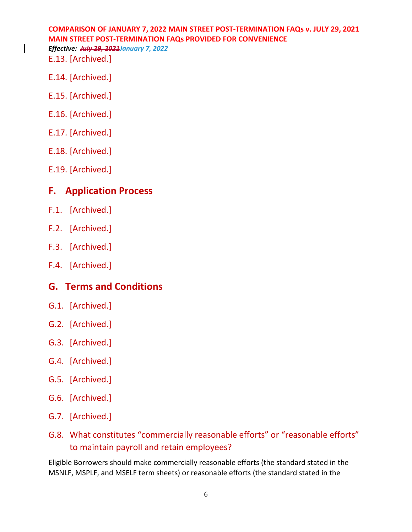E.13. [Archived.]

- E.14. [Archived.]
- E.15. [Archived.]
- E.16. [Archived.]
- E.17. [Archived.]
- E.18. [Archived.]
- E.19. [Archived.]

## **F. Application Process**

- F.1. [Archived.]
- F.2. [Archived.]
- F.3. [Archived.]
- F.4. [Archived.]

# **G. Terms and Conditions**

- G.1. [Archived.]
- G.2. [Archived.]
- G.3. [Archived.]
- G.4. [Archived.]
- G.5. [Archived.]
- G.6. [Archived.]
- G.7. [Archived.]
- G.8. What constitutes "commercially reasonable efforts" or "reasonable efforts" to maintain payroll and retain employees?

Eligible Borrowers should make commercially reasonable efforts (the standard stated in the MSNLF, MSPLF, and MSELF term sheets) or reasonable efforts (the standard stated in the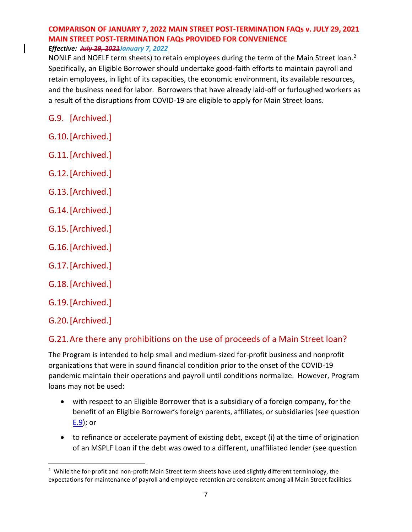NONLF and NOELF term sheets) to retain employees during the term of the Main Street loan.<sup>2</sup> Specifically, an Eligible Borrower should undertake good-faith efforts to maintain payroll and retain employees, in light of its capacities, the economic environment, its available resources, and the business need for labor. Borrowers that have already laid-off or furloughed workers as a result of the disruptions from COVID-19 are eligible to apply for Main Street loans.

- G.9. [Archived.]
- G.10.[Archived.]
- G.11.[Archived.]
- G.12.[Archived.]
- G.13.[Archived.]
- G.14.[Archived.]
- G.15.[Archived.]
- G.16.[Archived.]
- G.17.[Archived.]
- G.18.[Archived.]
- G.19.[Archived.]
- G.20.[Archived.]

### G.21.Are there any prohibitions on the use of proceeds of a Main Street loan?

The Program is intended to help small and medium-sized for-profit business and nonprofit organizations that were in sound financial condition prior to the onset of the COVID-19 pandemic maintain their operations and payroll until conditions normalize. However, Program loans may not be used:

- with respect to an Eligible Borrower that is a subsidiary of a foreign company, for the benefit of an Eligible Borrower's foreign parents, affiliates, or subsidiaries (see question [E.9\)](#page-4-0); or
- to refinance or accelerate payment of existing debt, except (i) at the time of origination of an MSPLF Loan if the debt was owed to a different, unaffiliated lender (see question

<span id="page-6-0"></span><sup>&</sup>lt;sup>2</sup> While the for-profit and non-profit Main Street term sheets have used slightly different terminology, the expectations for maintenance of payroll and employee retention are consistent among all Main Street facilities.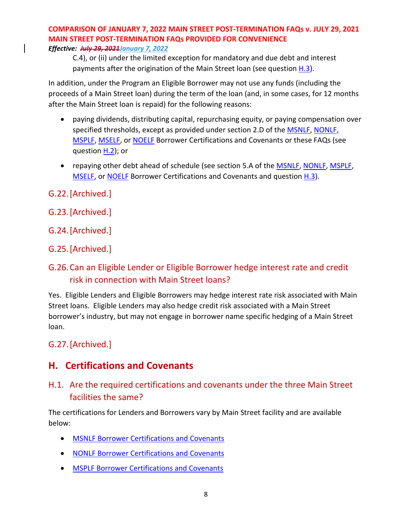C.4), or (ii) under the limited exception for mandatory and due debt and interest payments after the origination of the Main Street loan (see question  $H.3$ ).

In addition, under the Program an Eligible Borrower may not use any funds (including the proceeds of a Main Street loan) during the term of the loan (and, in some cases, for 12 months after the Main Street loan is repaid) for the following reasons:

- paying dividends, distributing capital, repurchasing equity, or paying compensation over specified thresholds, except as provided under section 2.D of the **MSNLF**, [NONLF,](https://www.bostonfed.org/-/media/Documents/special-lending-facilities/mslp/legal/nonlf-borrower-certifications-and-covenants.pdf?la=en) [MSPLF,](https://www.bostonfed.org/-/media/Documents/special-lending-facilities/mslp/legal/msplf-borrower-certifications-and-covenants.pdf?la=en) [MSELF,](https://www.bostonfed.org/-/media/Documents/special-lending-facilities/mslp/legal/mself-borrower-certifications-and-covenants.pdf?la=en) or [NOELF](https://www.bostonfed.org/-/media/Documents/special-lending-facilities/mslp/legal/noelf-borrower-certifications-and-covenants.pdf?la=en) Borrower Certifications and Covenants or these FAQs (see question **H.2**); or
- repaying other debt ahead of schedule (see section 5.A of the [MSNLF,](https://www.bostonfed.org/-/media/Documents/special-lending-facilities/mslp/legal/msnlf-borrower-certifications-and-covenants.pdf?la=en) [NONLF,](https://www.bostonfed.org/-/media/Documents/special-lending-facilities/mslp/legal/nonlf-borrower-certifications-and-covenants.pdf?la=en) [MSPLF,](https://www.bostonfed.org/-/media/Documents/special-lending-facilities/mslp/legal/msplf-borrower-certifications-and-covenants.pdf?la=en) [MSELF,](https://www.bostonfed.org/-/media/Documents/special-lending-facilities/mslp/legal/mself-borrower-certifications-and-covenants.pdf?la=en) or [NOELF](https://www.bostonfed.org/-/media/Documents/special-lending-facilities/mslp/legal/noelf-borrower-certifications-and-covenants.pdf?la=en) Borrower Certifications and Covenants and question [H.3\)](#page-8-0).
- G.22.[Archived.]
- G.23.[Archived.]
- G.24.[Archived.]
- G.25.[Archived.]

## G.26.Can an Eligible Lender or Eligible Borrower hedge interest rate and credit risk in connection with Main Street loans?

Yes. Eligible Lenders and Eligible Borrowers may hedge interest rate risk associated with Main Street loans. Eligible Lenders may also hedge credit risk associated with a Main Street borrower's industry, but may not engage in borrower name specific hedging of a Main Street loan.

### G.27.[Archived.]

# **H. Certifications and Covenants**

### H.1. Are the required certifications and covenants under the three Main Street facilities the same?

The certifications for Lenders and Borrowers vary by Main Street facility and are available below:

- [MSNLF Borrower Certifications and Covenants](https://www.bostonfed.org/-/media/Documents/special-lending-facilities/mslp/legal/msnlf-borrower-certifications-and-covenants.pdf)
- [NONLF Borrower Certifications and Covenants](https://www.bostonfed.org/-/media/Documents/special-lending-facilities/mslp/legal/nonlf-borrower-certifications-and-covenants.pdf?la=en)
- [MSPLF Borrower Certifications and Covenants](https://www.bostonfed.org/-/media/Documents/special-lending-facilities/mslp/legal/msplf-borrower-certifications-and-covenants.pdf)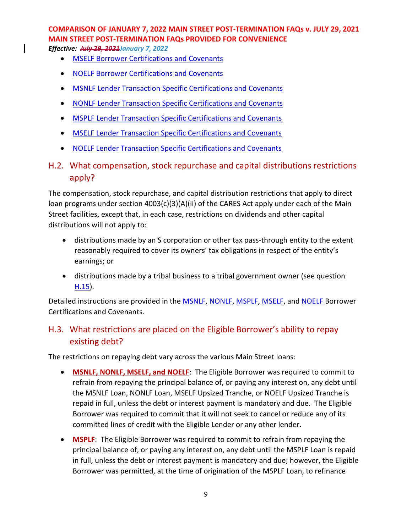*Effective: July 29, 2021January 7, 2022*

- [MSELF Borrower Certifications and Covenants](https://www.bostonfed.org/-/media/Documents/special-lending-facilities/mslp/legal/mself-borrower-certifications-and-covenants.pdf)
- [NOELF Borrower Certifications and Covenants](https://www.bostonfed.org/-/media/Documents/special-lending-facilities/mslp/legal/noelf-borrower-certifications-and-covenants.pdf?la=en)
- [MSNLF Lender Transaction Specific Certifications and Covenants](https://www.bostonfed.org/-/media/Documents/special-lending-facilities/mslp/legal/msnlf-lender-transaction-specific-certifications-and-covenants.pdf)
- [NONLF Lender Transaction Specific Certifications and Covenants](https://www.bostonfed.org/-/media/Documents/special-lending-facilities/mslp/legal/nonlf-lender-transaction-specific-certifications-and-covenants.pdf?la=en)
- [MSPLF Lender Transaction Specific Certifications and Covenants](https://www.bostonfed.org/-/media/Documents/special-lending-facilities/mslp/legal/msplf-lender-transaction-specific-certifications-and-covenants.pdf)
- [MSELF Lender Transaction Specific Certifications and Covenants](https://www.bostonfed.org/-/media/Documents/special-lending-facilities/mslp/legal/mself-lender-transaction-specific-certifications-and-covenants.pdf)
- [NOELF Lender Transaction Specific Certifications and Covenants](https://www.bostonfed.org/-/media/Documents/special-lending-facilities/mslp/legal/noelf-lender-transaction-specific-certifications-and-covenants.pdf?la=en)
- <span id="page-8-1"></span>H.2. What compensation, stock repurchase and capital distributions restrictions apply?

The compensation, stock repurchase, and capital distribution restrictions that apply to direct loan programs under section 4003(c)(3)(A)(ii) of the CARES Act apply under each of the Main Street facilities, except that, in each case, restrictions on dividends and other capital distributions will not apply to:

- distributions made by an S corporation or other tax pass-through entity to the extent reasonably required to cover its owners' tax obligations in respect of the entity's earnings; or
- distributions made by a tribal business to a tribal government owner (see question  $H.15$ ).

Detailed instructions are provided in the **MSNLF, [NONLF,](https://www.bostonfed.org/-/media/Documents/special-lending-facilities/mslp/legal/nonlf-borrower-certifications-and-covenants.pdf?la=en) [MSPLF,](https://www.bostonfed.org/-/media/Documents/special-lending-facilities/mslp/legal/msplf-borrower-certifications-and-covenants.pdf) MSELF**, and **NOELF** Borrower Certifications and Covenants.

### <span id="page-8-0"></span>H.3. What restrictions are placed on the Eligible Borrower's ability to repay existing debt?

The restrictions on repaying debt vary across the various Main Street loans:

- **MSNLF, NONLF, MSELF, and NOELF**: The Eligible Borrower was required to commit to refrain from repaying the principal balance of, or paying any interest on, any debt until the MSNLF Loan, NONLF Loan, MSELF Upsized Tranche, or NOELF Upsized Tranche is repaid in full, unless the debt or interest payment is mandatory and due. The Eligible Borrower was required to commit that it will not seek to cancel or reduce any of its committed lines of credit with the Eligible Lender or any other lender.
- **MSPLF**: The Eligible Borrower was required to commit to refrain from repaying the principal balance of, or paying any interest on, any debt until the MSPLF Loan is repaid in full, unless the debt or interest payment is mandatory and due; however, the Eligible Borrower was permitted, at the time of origination of the MSPLF Loan, to refinance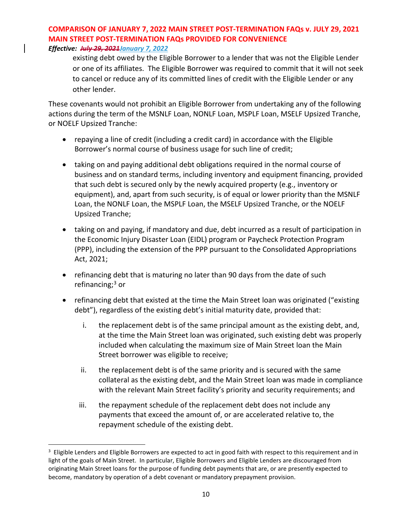### *Effective: July 29, 2021January 7, 2022*

existing debt owed by the Eligible Borrower to a lender that was not the Eligible Lender or one of its affiliates. The Eligible Borrower was required to commit that it will not seek to cancel or reduce any of its committed lines of credit with the Eligible Lender or any other lender.

These covenants would not prohibit an Eligible Borrower from undertaking any of the following actions during the term of the MSNLF Loan, NONLF Loan, MSPLF Loan, MSELF Upsized Tranche, or NOELF Upsized Tranche:

- repaying a line of credit (including a credit card) in accordance with the Eligible Borrower's normal course of business usage for such line of credit;
- taking on and paying additional debt obligations required in the normal course of business and on standard terms, including inventory and equipment financing, provided that such debt is secured only by the newly acquired property (e.g., inventory or equipment), and, apart from such security, is of equal or lower priority than the MSNLF Loan, the NONLF Loan, the MSPLF Loan, the MSELF Upsized Tranche, or the NOELF Upsized Tranche;
- taking on and paying, if mandatory and due, debt incurred as a result of participation in the Economic Injury Disaster Loan (EIDL) program or Paycheck Protection Program (PPP), including the extension of the PPP pursuant to the Consolidated Appropriations Act, 2021;
- refinancing debt that is maturing no later than 90 days from the date of such refinancing;<sup>[3](#page-9-0)</sup> or
- refinancing debt that existed at the time the Main Street loan was originated ("existing debt"), regardless of the existing debt's initial maturity date, provided that:
	- i. the replacement debt is of the same principal amount as the existing debt, and, at the time the Main Street loan was originated, such existing debt was properly included when calculating the maximum size of Main Street loan the Main Street borrower was eligible to receive;
	- ii. the replacement debt is of the same priority and is secured with the same collateral as the existing debt, and the Main Street loan was made in compliance with the relevant Main Street facility's priority and security requirements; and
	- iii. the repayment schedule of the replacement debt does not include any payments that exceed the amount of, or are accelerated relative to, the repayment schedule of the existing debt.

<span id="page-9-0"></span> $3$  Eligible Lenders and Eligible Borrowers are expected to act in good faith with respect to this requirement and in light of the goals of Main Street. In particular, Eligible Borrowers and Eligible Lenders are discouraged from originating Main Street loans for the purpose of funding debt payments that are, or are presently expected to become, mandatory by operation of a debt covenant or mandatory prepayment provision.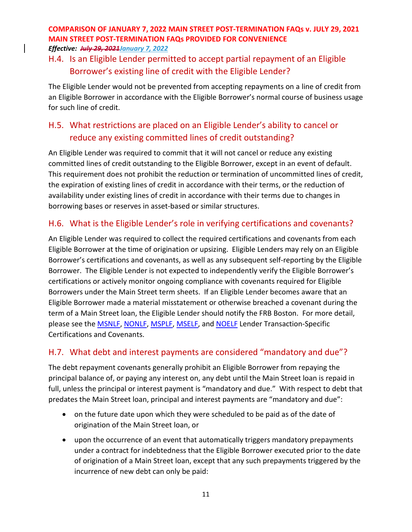### H.4. Is an Eligible Lender permitted to accept partial repayment of an Eligible Borrower's existing line of credit with the Eligible Lender?

The Eligible Lender would not be prevented from accepting repayments on a line of credit from an Eligible Borrower in accordance with the Eligible Borrower's normal course of business usage for such line of credit.

## H.5. What restrictions are placed on an Eligible Lender's ability to cancel or reduce any existing committed lines of credit outstanding?

An Eligible Lender was required to commit that it will not cancel or reduce any existing committed lines of credit outstanding to the Eligible Borrower, except in an event of default. This requirement does not prohibit the reduction or termination of uncommitted lines of credit, the expiration of existing lines of credit in accordance with their terms, or the reduction of availability under existing lines of credit in accordance with their terms due to changes in borrowing bases or reserves in asset-based or similar structures.

### H.6. What is the Eligible Lender's role in verifying certifications and covenants?

An Eligible Lender was required to collect the required certifications and covenants from each Eligible Borrower at the time of origination or upsizing. Eligible Lenders may rely on an Eligible Borrower's certifications and covenants, as well as any subsequent self-reporting by the Eligible Borrower. The Eligible Lender is not expected to independently verify the Eligible Borrower's certifications or actively monitor ongoing compliance with covenants required for Eligible Borrowers under the Main Street term sheets. If an Eligible Lender becomes aware that an Eligible Borrower made a material misstatement or otherwise breached a covenant during the term of a Main Street loan, the Eligible Lender should notify the FRB Boston. For more detail, please see the **MSNLF, [NONLF,](https://www.bostonfed.org/-/media/Documents/special-lending-facilities/mslp/legal/nonlf-lender-transaction-specific-certifications-and-covenants.pdf?la=en) [MSPLF,](https://www.bostonfed.org/-/media/Documents/special-lending-facilities/mslp/legal/msplf-lender-transaction-specific-certifications-and-covenants.pdf?la=en) MSELF**, and **NOELF** Lender Transaction-Specific Certifications and Covenants.

### H.7. What debt and interest payments are considered "mandatory and due"?

The debt repayment covenants generally prohibit an Eligible Borrower from repaying the principal balance of, or paying any interest on, any debt until the Main Street loan is repaid in full, unless the principal or interest payment is "mandatory and due." With respect to debt that predates the Main Street loan, principal and interest payments are "mandatory and due":

- on the future date upon which they were scheduled to be paid as of the date of origination of the Main Street loan, or
- upon the occurrence of an event that automatically triggers mandatory prepayments under a contract for indebtedness that the Eligible Borrower executed prior to the date of origination of a Main Street loan, except that any such prepayments triggered by the incurrence of new debt can only be paid: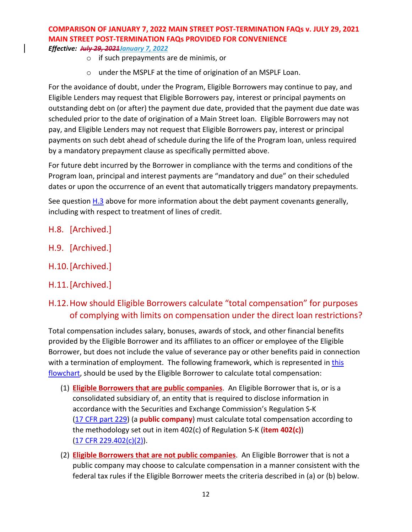- o if such prepayments are de minimis, or
- o under the MSPLF at the time of origination of an MSPLF Loan.

For the avoidance of doubt, under the Program, Eligible Borrowers may continue to pay, and Eligible Lenders may request that Eligible Borrowers pay, interest or principal payments on outstanding debt on (or after) the payment due date, provided that the payment due date was scheduled prior to the date of origination of a Main Street loan. Eligible Borrowers may not pay, and Eligible Lenders may not request that Eligible Borrowers pay, interest or principal payments on such debt ahead of schedule during the life of the Program loan, unless required by a mandatory prepayment clause as specifically permitted above.

For future debt incurred by the Borrower in compliance with the terms and conditions of the Program loan, principal and interest payments are "mandatory and due" on their scheduled dates or upon the occurrence of an event that automatically triggers mandatory prepayments.

See question  $H.3$  above for more information about the debt payment covenants generally, including with respect to treatment of lines of credit.

- H.8. [Archived.]
- H.9. [Archived.]
- H.10.[Archived.]
- H.11.[Archived.]

### <span id="page-11-0"></span>H.12.How should Eligible Borrowers calculate "total compensation" for purposes of complying with limits on compensation under the direct loan restrictions?

Total compensation includes salary, bonuses, awards of stock, and other financial benefits provided by the Eligible Borrower and its affiliates to an officer or employee of the Eligible Borrower, but does not include the value of severance pay or other benefits paid in connection with a termination of employment. The following framework, which is represented in this [flowchart,](https://www.bostonfed.org/-/media/Documents/special-lending-facilities/mslp/legal/Total-Compensation-FAQ.pdf) should be used by the Eligible Borrower to calculate total compensation:

- (1) **Eligible Borrowers that are public companies**. An Eligible Borrower that is, or is a consolidated subsidiary of, an entity that is required to disclose information in accordance with the Securities and Exchange Commission's Regulation S-K (17 CFR part [229\)](https://www.ecfr.gov/cgi-bin/text-idx?tpl=/ecfrbrowse/Title17/17cfr229_main_02.tpl) (a **public company**) must calculate total compensation according to the methodology set out in item 402(c) of Regulation S-K (**item 402(c)**) (17 CFR [229.402\(c\)\(2\)\)](https://www.ecfr.gov/cgi-bin/text-idx?SID=196c5f2a1f5f9eb8d47839cc87c2e01e&mc=true&node=se17.3.229_1402&rgn=div8).
- (2) **Eligible Borrowers that are not public companies**. An Eligible Borrower that is not a public company may choose to calculate compensation in a manner consistent with the federal tax rules if the Eligible Borrower meets the criteria described in (a) or (b) below.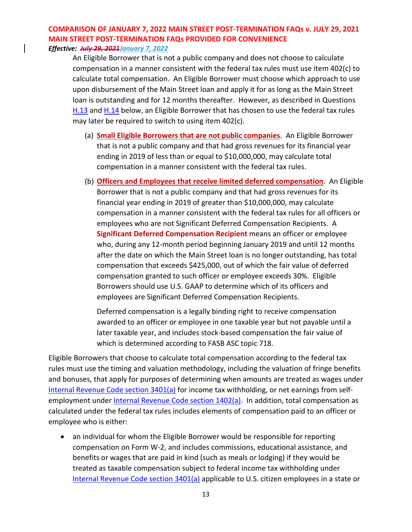An Eligible Borrower that is not a public company and does not choose to calculate compensation in a manner consistent with the federal tax rules must use item 402(c) to calculate total compensation. An Eligible Borrower must choose which approach to use upon disbursement of the Main Street loan and apply it for as long as the Main Street loan is outstanding and for 12 months thereafter. However, as described in Questions [H.13](#page-13-0) and [H.14](#page-13-1) below, an Eligible Borrower that has chosen to use the federal tax rules may later be required to switch to using item 402(c).

- (a) **Small Eligible Borrowers that are not public companies**. An Eligible Borrower that is not a public company and that had gross revenues for its financial year ending in 2019 of less than or equal to \$10,000,000, may calculate total compensation in a manner consistent with the federal tax rules.
- (b) **Officers and Employees that receive limited deferred compensation**. An Eligible Borrower that is not a public company and that had gross revenues for its financial year ending in 2019 of greater than \$10,000,000, may calculate compensation in a manner consistent with the federal tax rules for all officers or employees who are not Significant Deferred Compensation Recipients. A **Significant Deferred Compensation Recipient** means an officer or employee who, during any 12-month period beginning January 2019 and until 12 months after the date on which the Main Street loan is no longer outstanding, has total compensation that exceeds \$425,000, out of which the fair value of deferred compensation granted to such officer or employee exceeds 30%. Eligible Borrowers should use U.S. GAAP to determine which of its officers and employees are Significant Deferred Compensation Recipients.

Deferred compensation is a legally binding right to receive compensation awarded to an officer or employee in one taxable year but not payable until a later taxable year, and includes stock-based compensation the fair value of which is determined according to FASB ASC topic 718.

Eligible Borrowers that choose to calculate total compensation according to the federal tax rules must use the timing and valuation methodology, including the valuation of fringe benefits and bonuses, that apply for purposes of determining when amounts are treated as wages under [Internal Revenue Code section 3401\(a\)](https://uscode.house.gov/view.xhtml?req=(title:26%20section:3401%20edition:prelim)%20OR%20(granuleid:USC-prelim-title26-section3401)&f=treesort&edition=prelim&num=0&jumpTo=true) for income tax withholding, or net earnings from selfemployment unde[r Internal Revenue Code section 1402\(a\).](https://uscode.house.gov/view.xhtml?req=(title:26%20section:1402%20edition:prelim)%20OR%20(granuleid:USC-prelim-title26-section1402)&f=treesort&edition=prelim&num=0&jumpTo=true) In addition, total compensation as calculated under the federal tax rules includes elements of compensation paid to an officer or employee who is either:

an individual for whom the Eligible Borrower would be responsible for reporting compensation on Form W-2, and includes commissions, educational assistance, and benefits or wages that are paid in kind (such as meals or lodging) if they would be treated as taxable compensation subject to federal income tax withholding under [Internal Revenue Code section 3401\(a\)](https://uscode.house.gov/view.xhtml?req=(title:26%20section:3401%20edition:prelim)%20OR%20(granuleid:USC-prelim-title26-section3401)&f=treesort&edition=prelim&num=0&jumpTo=true) applicable to U.S. citizen employees in a state or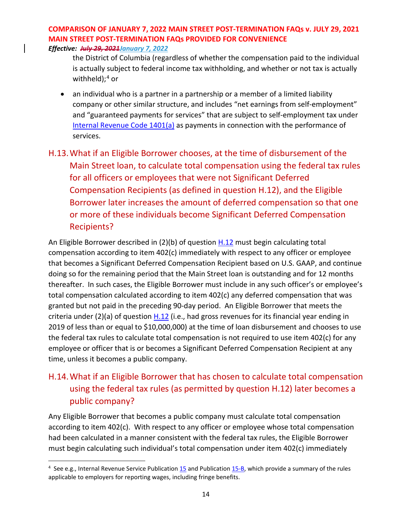*Effective: July 29, 2021January 7, 2022*

the District of Columbia (regardless of whether the compensation paid to the individual is actually subject to federal income tax withholding, and whether or not tax is actually withheld); $4$  or

• an individual who is a partner in a partnership or a member of a limited liability company or other similar structure, and includes "net earnings from self-employment" and "guaranteed payments for services" that are subject to self-employment tax under [Internal Revenue Code 1401\(a\)](https://uscode.house.gov/view.xhtml?req=(title:26%20section:1401%20edition:prelim)%20OR%20(granuleid:USC-prelim-title26-section1401)&f=treesort&edition=prelim&num=0&jumpTo=true) as payments in connection with the performance of services.

# <span id="page-13-0"></span>H.13.What if an Eligible Borrower chooses, at the time of disbursement of the Main Street loan, to calculate total compensation using the federal tax rules for all officers or employees that were not Significant Deferred Compensation Recipients (as defined in question H.12), and the Eligible Borrower later increases the amount of deferred compensation so that one or more of these individuals become Significant Deferred Compensation Recipients?

An Eligible Borrower described in (2)(b) of question [H.12](#page-11-0) must begin calculating total compensation according to item 402(c) immediately with respect to any officer or employee that becomes a Significant Deferred Compensation Recipient based on U.S. GAAP, and continue doing so for the remaining period that the Main Street loan is outstanding and for 12 months thereafter. In such cases, the Eligible Borrower must include in any such officer's or employee's total compensation calculated according to item 402(c) any deferred compensation that was granted but not paid in the preceding 90-day period. An Eligible Borrower that meets the criteria under (2)(a) of question [H.12](#page-11-0) (i.e., had gross revenues for its financial year ending in 2019 of less than or equal to \$10,000,000) at the time of loan disbursement and chooses to use the federal tax rules to calculate total compensation is not required to use item 402(c) for any employee or officer that is or becomes a Significant Deferred Compensation Recipient at any time, unless it becomes a public company.

## <span id="page-13-1"></span>H.14.What if an Eligible Borrower that has chosen to calculate total compensation using the federal tax rules (as permitted by question H.12) later becomes a public company?

Any Eligible Borrower that becomes a public company must calculate total compensation according to item 402(c). With respect to any officer or employee whose total compensation had been calculated in a manner consistent with the federal tax rules, the Eligible Borrower must begin calculating such individual's total compensation under item 402(c) immediately

<span id="page-13-2"></span><sup>&</sup>lt;sup>4</sup> See e.g., Internal Revenue Service Publication [15](https://www.irs.gov/pub/irs-pdf/p15.pdf) and Publicatio[n 15-B,](https://www.irs.gov/publications/p15b) which provide a summary of the rules applicable to employers for reporting wages, including fringe benefits.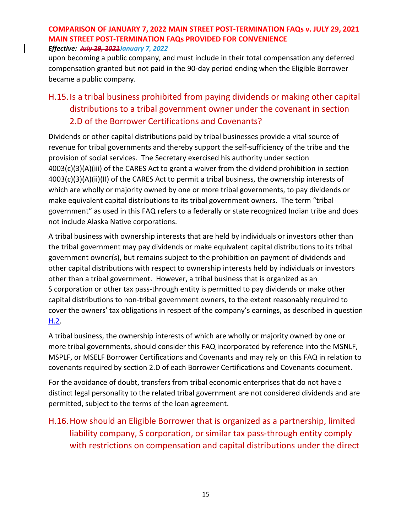upon becoming a public company, and must include in their total compensation any deferred compensation granted but not paid in the 90-day period ending when the Eligible Borrower became a public company.

## <span id="page-14-0"></span>H.15.Is a tribal business prohibited from paying dividends or making other capital distributions to a tribal government owner under the covenant in section 2.D of the Borrower Certifications and Covenants?

Dividends or other capital distributions paid by tribal businesses provide a vital source of revenue for tribal governments and thereby support the self-sufficiency of the tribe and the provision of social services. The Secretary exercised his authority under section 4003(c)(3)(A)(iii) of the CARES Act to grant a waiver from the dividend prohibition in section 4003(c)(3)(A)(ii)(II) of the CARES Act to permit a tribal business, the ownership interests of which are wholly or majority owned by one or more tribal governments, to pay dividends or make equivalent capital distributions to its tribal government owners. The term "tribal government" as used in this FAQ refers to a federally or state recognized Indian tribe and does not include Alaska Native corporations.

A tribal business with ownership interests that are held by individuals or investors other than the tribal government may pay dividends or make equivalent capital distributions to its tribal government owner(s), but remains subject to the prohibition on payment of dividends and other capital distributions with respect to ownership interests held by individuals or investors other than a tribal government. However, a tribal business that is organized as an S corporation or other tax pass-through entity is permitted to pay dividends or make other capital distributions to non-tribal government owners, to the extent reasonably required to cover the owners' tax obligations in respect of the company's earnings, as described in question  $H.2.$ 

A tribal business, the ownership interests of which are wholly or majority owned by one or more tribal governments, should consider this FAQ incorporated by reference into the MSNLF, MSPLF, or MSELF Borrower Certifications and Covenants and may rely on this FAQ in relation to covenants required by section 2.D of each Borrower Certifications and Covenants document.

For the avoidance of doubt, transfers from tribal economic enterprises that do not have a distinct legal personality to the related tribal government are not considered dividends and are permitted, subject to the terms of the loan agreement.

## H.16.How should an Eligible Borrower that is organized as a partnership, limited liability company, S corporation, or similar tax pass-through entity comply with restrictions on compensation and capital distributions under the direct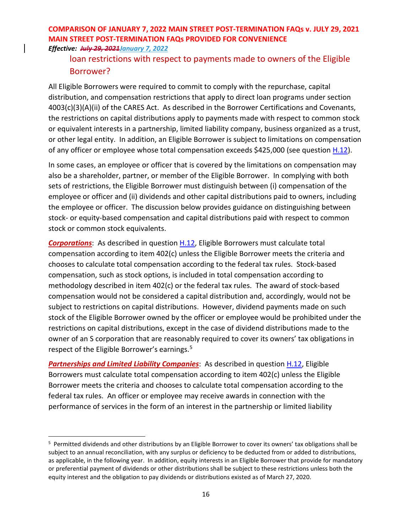### loan restrictions with respect to payments made to owners of the Eligible Borrower?

All Eligible Borrowers were required to commit to comply with the repurchase, capital distribution, and compensation restrictions that apply to direct loan programs under section 4003(c)(3)(A)(ii) of the CARES Act. As described in the Borrower Certifications and Covenants, the restrictions on capital distributions apply to payments made with respect to common stock or equivalent interests in a partnership, limited liability company, business organized as a trust, or other legal entity. In addition, an Eligible Borrower is subject to limitations on compensation of any officer or employee whose total compensation exceeds \$425,000 (see question [H.12\)](#page-11-0).

In some cases, an employee or officer that is covered by the limitations on compensation may also be a shareholder, partner, or member of the Eligible Borrower. In complying with both sets of restrictions, the Eligible Borrower must distinguish between (i) compensation of the employee or officer and (ii) dividends and other capital distributions paid to owners, including the employee or officer. The discussion below provides guidance on distinguishing between stock- or equity-based compensation and capital distributions paid with respect to common stock or common stock equivalents.

**Corporations**: As described in question **H.12**, Eligible Borrowers must calculate total compensation according to item 402(c) unless the Eligible Borrower meets the criteria and chooses to calculate total compensation according to the federal tax rules. Stock-based compensation, such as stock options, is included in total compensation according to methodology described in item 402(c) or the federal tax rules. The award of stock-based compensation would not be considered a capital distribution and, accordingly, would not be subject to restrictions on capital distributions. However, dividend payments made on such stock of the Eligible Borrower owned by the officer or employee would be prohibited under the restrictions on capital distributions, except in the case of dividend distributions made to the owner of an S corporation that are reasonably required to cover its owners' tax obligations in respect of the Eligible Borrower's earnings.<sup>[5](#page-15-0)</sup>

<span id="page-15-1"></span>**Partnerships and Limited Liability Companies**: As described in question **H.12**, Eligible Borrowers must calculate total compensation according to item 402(c) unless the Eligible Borrower meets the criteria and chooses to calculate total compensation according to the federal tax rules. An officer or employee may receive awards in connection with the performance of services in the form of an interest in the partnership or limited liability

<span id="page-15-0"></span><sup>&</sup>lt;sup>5</sup> Permitted dividends and other distributions by an Eligible Borrower to cover its owners' tax obligations shall be subject to an annual reconciliation, with any surplus or deficiency to be deducted from or added to distributions, as applicable, in the following year. In addition, equity interests in an Eligible Borrower that provide for mandatory or preferential payment of dividends or other distributions shall be subject to these restrictions unless both the equity interest and the obligation to pay dividends or distributions existed as of March 27, 2020.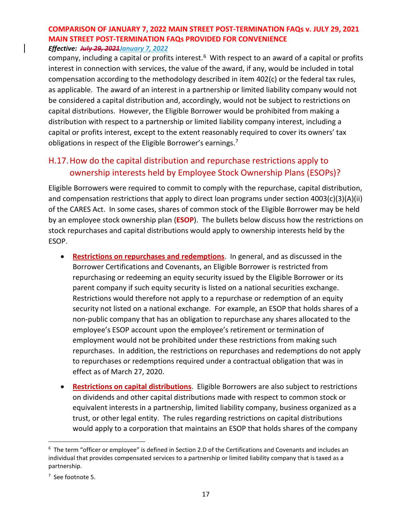company, including a capital or profits interest.<sup>[6](#page-16-0)</sup> With respect to an award of a capital or profits interest in connection with services, the value of the award, if any, would be included in total compensation according to the methodology described in item 402(c) or the federal tax rules, as applicable. The award of an interest in a partnership or limited liability company would not be considered a capital distribution and, accordingly, would not be subject to restrictions on capital distributions. However, the Eligible Borrower would be prohibited from making a distribution with respect to a partnership or limited liability company interest, including a capital or profits interest, except to the extent reasonably required to cover its owners' tax obligations in respect of the Eligible Borrower's earnings.<sup>[7](#page-16-1)</sup>

### H.17.How do the capital distribution and repurchase restrictions apply to ownership interests held by Employee Stock Ownership Plans (ESOPs)?

Eligible Borrowers were required to commit to comply with the repurchase, capital distribution, and compensation restrictions that apply to direct loan programs under section 4003(c)(3)(A)(ii) of the CARES Act. In some cases, shares of common stock of the Eligible Borrower may be held by an employee stock ownership plan (**ESOP**). The bullets below discuss how the restrictions on stock repurchases and capital distributions would apply to ownership interests held by the ESOP.

- **Restrictions on repurchases and redemptions**. In general, and as discussed in the Borrower Certifications and Covenants, an Eligible Borrower is restricted from repurchasing or redeeming an equity security issued by the Eligible Borrower or its parent company if such equity security is listed on a national securities exchange. Restrictions would therefore not apply to a repurchase or redemption of an equity security not listed on a national exchange. For example, an ESOP that holds shares of a non-public company that has an obligation to repurchase any shares allocated to the employee's ESOP account upon the employee's retirement or termination of employment would not be prohibited under these restrictions from making such repurchases. In addition, the restrictions on repurchases and redemptions do not apply to repurchases or redemptions required under a contractual obligation that was in effect as of March 27, 2020.
- **Restrictions on capital distributions**. Eligible Borrowers are also subject to restrictions on dividends and other capital distributions made with respect to common stock or equivalent interests in a partnership, limited liability company, business organized as a trust, or other legal entity. The rules regarding restrictions on capital distributions would apply to a corporation that maintains an ESOP that holds shares of the company

<span id="page-16-0"></span><sup>6</sup> The term "officer or employee" is defined in Section 2.D of the Certifications and Covenants and includes an individual that provides compensated services to a partnership or limited liability company that is taxed as a partnership.

<span id="page-16-1"></span><sup>7</sup> See footnot[e 5.](#page-15-1)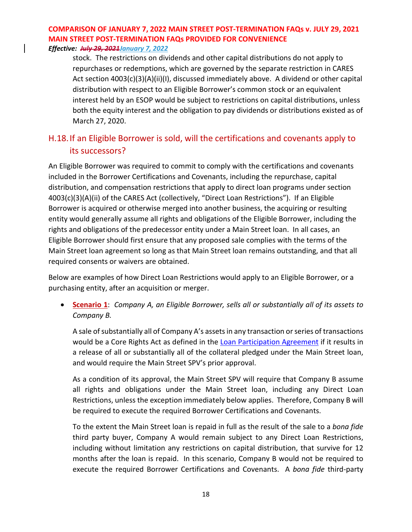*Effective: July 29, 2021January 7, 2022*

stock. The restrictions on dividends and other capital distributions do not apply to repurchases or redemptions, which are governed by the separate restriction in CARES Act section 4003(c)(3)(A)(ii)(I), discussed immediately above. A dividend or other capital distribution with respect to an Eligible Borrower's common stock or an equivalent interest held by an ESOP would be subject to restrictions on capital distributions, unless both the equity interest and the obligation to pay dividends or distributions existed as of March 27, 2020.

### H.18.If an Eligible Borrower is sold, will the certifications and covenants apply to its successors?

An Eligible Borrower was required to commit to comply with the certifications and covenants included in the Borrower Certifications and Covenants, including the repurchase, capital distribution, and compensation restrictions that apply to direct loan programs under section 4003(c)(3)(A)(ii) of the CARES Act (collectively, "Direct Loan Restrictions"). If an Eligible Borrower is acquired or otherwise merged into another business, the acquiring or resulting entity would generally assume all rights and obligations of the Eligible Borrower, including the rights and obligations of the predecessor entity under a Main Street loan. In all cases, an Eligible Borrower should first ensure that any proposed sale complies with the terms of the Main Street loan agreement so long as that Main Street loan remains outstanding, and that all required consents or waivers are obtained.

Below are examples of how Direct Loan Restrictions would apply to an Eligible Borrower, or a purchasing entity, after an acquisition or merger.

• **Scenario 1**: *Company A, an Eligible Borrower, sells all or substantially all of its assets to Company B.*

A sale of substantially all of Company A's assets in any transaction or series of transactions would be a Core Rights Act as defined in the [Loan Participation Agreement](https://www.bostonfed.org/-/media/Documents/special-lending-facilities/mslp/legal/loan-participation-agreement-standard-terms-and-conditions-historic-July312020.pdf?la=en) if it results in a release of all or substantially all of the collateral pledged under the Main Street loan, and would require the Main Street SPV's prior approval.

As a condition of its approval, the Main Street SPV will require that Company B assume all rights and obligations under the Main Street loan, including any Direct Loan Restrictions, unless the exception immediately below applies. Therefore, Company B will be required to execute the required Borrower Certifications and Covenants.

To the extent the Main Street loan is repaid in full as the result of the sale to a *bona fide* third party buyer, Company A would remain subject to any Direct Loan Restrictions, including without limitation any restrictions on capital distribution, that survive for 12 months after the loan is repaid. In this scenario, Company B would not be required to execute the required Borrower Certifications and Covenants. A *bona fide* third-party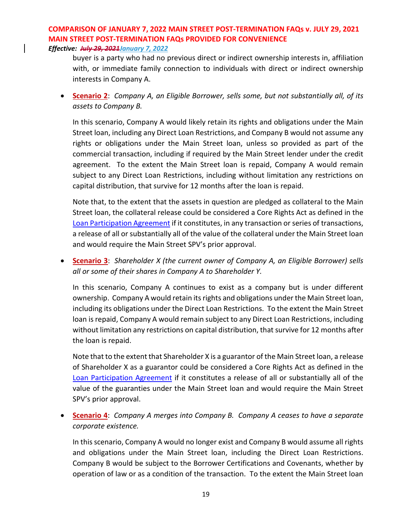buyer is a party who had no previous direct or indirect ownership interests in, affiliation with, or immediate family connection to individuals with direct or indirect ownership interests in Company A.

• **Scenario 2**: *Company A, an Eligible Borrower, sells some, but not substantially all, of its assets to Company B.*

In this scenario, Company A would likely retain its rights and obligations under the Main Street loan, including any Direct Loan Restrictions, and Company B would not assume any rights or obligations under the Main Street loan, unless so provided as part of the commercial transaction, including if required by the Main Street lender under the credit agreement. To the extent the Main Street loan is repaid, Company A would remain subject to any Direct Loan Restrictions, including without limitation any restrictions on capital distribution, that survive for 12 months after the loan is repaid.

Note that, to the extent that the assets in question are pledged as collateral to the Main Street loan, the collateral release could be considered a Core Rights Act as defined in the [Loan Participation Agreement](https://www.bostonfed.org/-/media/Documents/special-lending-facilities/mslp/legal/loan-participation-agreement-standard-terms-and-conditions-historic-July312020.pdf?la=en) if it constitutes, in any transaction or series of transactions, a release of all or substantially all of the value of the collateral under the Main Street loan and would require the Main Street SPV's prior approval.

• **Scenario 3**: *Shareholder X (the current owner of Company A, an Eligible Borrower) sells all or some of their shares in Company A to Shareholder Y.*

In this scenario, Company A continues to exist as a company but is under different ownership. Company A would retain its rights and obligations under the Main Street loan, including its obligations under the Direct Loan Restrictions. To the extent the Main Street loan is repaid, Company A would remain subject to any Direct Loan Restrictions, including without limitation any restrictions on capital distribution, that survive for 12 months after the loan is repaid.

Note that to the extent that Shareholder X is a guarantor of the Main Street loan, a release of Shareholder X as a guarantor could be considered a Core Rights Act as defined in the [Loan Participation Agreement](https://www.bostonfed.org/-/media/Documents/special-lending-facilities/mslp/legal/loan-participation-agreement-standard-terms-and-conditions-historic-July312020.pdf?la=en) if it constitutes a release of all or substantially all of the value of the guaranties under the Main Street loan and would require the Main Street SPV's prior approval.

• **Scenario 4**: *Company A merges into Company B. Company A ceases to have a separate corporate existence.*

In this scenario, Company A would no longer exist and Company B would assume all rights and obligations under the Main Street loan, including the Direct Loan Restrictions. Company B would be subject to the Borrower Certifications and Covenants, whether by operation of law or as a condition of the transaction. To the extent the Main Street loan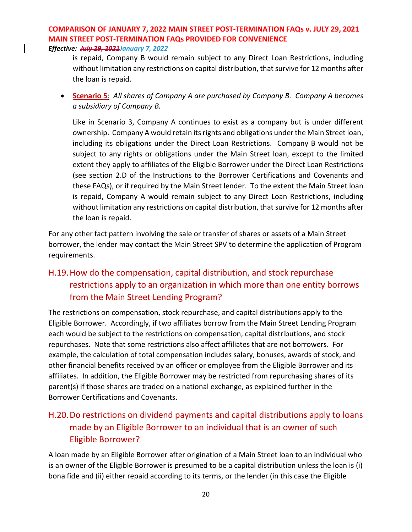*Effective: July 29, 2021January 7, 2022*

is repaid, Company B would remain subject to any Direct Loan Restrictions, including without limitation any restrictions on capital distribution, that survive for 12 months after the loan is repaid.

• **Scenario 5**: *All shares of Company A are purchased by Company B. Company A becomes a subsidiary of Company B.*

Like in Scenario 3, Company A continues to exist as a company but is under different ownership. Company A would retain its rights and obligations under the Main Street loan, including its obligations under the Direct Loan Restrictions. Company B would not be subject to any rights or obligations under the Main Street loan, except to the limited extent they apply to affiliates of the Eligible Borrower under the Direct Loan Restrictions (see section 2.D of the Instructions to the Borrower Certifications and Covenants and these FAQs), or if required by the Main Street lender. To the extent the Main Street loan is repaid, Company A would remain subject to any Direct Loan Restrictions, including without limitation any restrictions on capital distribution, that survive for 12 months after the loan is repaid.

For any other fact pattern involving the sale or transfer of shares or assets of a Main Street borrower, the lender may contact the Main Street SPV to determine the application of Program requirements.

## H.19.How do the compensation, capital distribution, and stock repurchase restrictions apply to an organization in which more than one entity borrows from the Main Street Lending Program?

The restrictions on compensation, stock repurchase, and capital distributions apply to the Eligible Borrower. Accordingly, if two affiliates borrow from the Main Street Lending Program each would be subject to the restrictions on compensation, capital distributions, and stock repurchases. Note that some restrictions also affect affiliates that are not borrowers. For example, the calculation of total compensation includes salary, bonuses, awards of stock, and other financial benefits received by an officer or employee from the Eligible Borrower and its affiliates. In addition, the Eligible Borrower may be restricted from repurchasing shares of its parent(s) if those shares are traded on a national exchange, as explained further in the Borrower Certifications and Covenants.

## <span id="page-19-0"></span>H.20.Do restrictions on dividend payments and capital distributions apply to loans made by an Eligible Borrower to an individual that is an owner of such Eligible Borrower?

A loan made by an Eligible Borrower after origination of a Main Street loan to an individual who is an owner of the Eligible Borrower is presumed to be a capital distribution unless the loan is (i) bona fide and (ii) either repaid according to its terms, or the lender (in this case the Eligible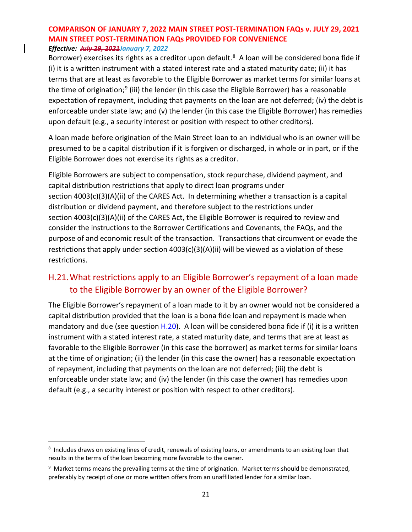Borrower) exercises its rights as a creditor upon default.<sup>8</sup> A loan will be considered bona fide if (i) it is a written instrument with a stated interest rate and a stated maturity date; (ii) it has terms that are at least as favorable to the Eligible Borrower as market terms for similar loans at the time of origination;<sup>[9](#page-20-1)</sup> (iii) the lender (in this case the Eligible Borrower) has a reasonable expectation of repayment, including that payments on the loan are not deferred; (iv) the debt is enforceable under state law; and (v) the lender (in this case the Eligible Borrower) has remedies upon default (e.g., a security interest or position with respect to other creditors).

A loan made before origination of the Main Street loan to an individual who is an owner will be presumed to be a capital distribution if it is forgiven or discharged, in whole or in part, or if the Eligible Borrower does not exercise its rights as a creditor.

Eligible Borrowers are subject to compensation, stock repurchase, dividend payment, and capital distribution restrictions that apply to direct loan programs under section 4003(c)(3)(A)(ii) of the CARES Act. In determining whether a transaction is a capital distribution or dividend payment, and therefore subject to the restrictions under section 4003(c)(3)(A)(ii) of the CARES Act, the Eligible Borrower is required to review and consider the instructions to the Borrower Certifications and Covenants, the FAQs, and the purpose of and economic result of the transaction. Transactions that circumvent or evade the restrictions that apply under section 4003(c)(3)(A)(ii) will be viewed as a violation of these restrictions.

### H.21.What restrictions apply to an Eligible Borrower's repayment of a loan made to the Eligible Borrower by an owner of the Eligible Borrower?

The Eligible Borrower's repayment of a loan made to it by an owner would not be considered a capital distribution provided that the loan is a bona fide loan and repayment is made when mandatory and due (see question  $H.20$ ). A loan will be considered bona fide if (i) it is a written instrument with a stated interest rate, a stated maturity date, and terms that are at least as favorable to the Eligible Borrower (in this case the borrower) as market terms for similar loans at the time of origination; (ii) the lender (in this case the owner) has a reasonable expectation of repayment, including that payments on the loan are not deferred; (iii) the debt is enforceable under state law; and (iv) the lender (in this case the owner) has remedies upon default (e.g., a security interest or position with respect to other creditors).

<span id="page-20-0"></span><sup>&</sup>lt;sup>8</sup> Includes draws on existing lines of credit, renewals of existing loans, or amendments to an existing loan that results in the terms of the loan becoming more favorable to the owner.

<span id="page-20-1"></span> $9$  Market terms means the prevailing terms at the time of origination. Market terms should be demonstrated, preferably by receipt of one or more written offers from an unaffiliated lender for a similar loan.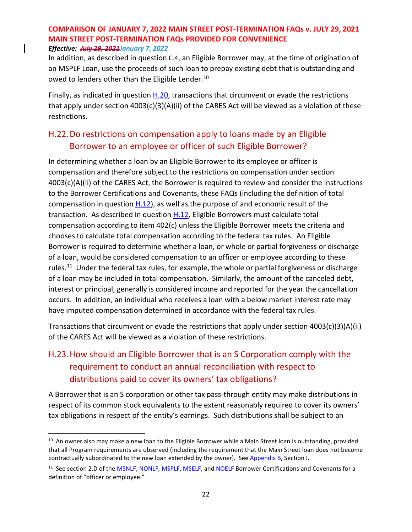In addition, as described in question C.4, an Eligible Borrower may, at the time of origination of an MSPLF Loan, use the proceeds of such loan to prepay existing debt that is outstanding and owed to lenders other than the Eligible Lender.<sup>[10](#page-21-0)</sup>

Finally, as indicated in question  $H.20$ , transactions that circumvent or evade the restrictions that apply under section 4003(c)(3)(A)(ii) of the CARES Act will be viewed as a violation of these restrictions.

### H.22.Do restrictions on compensation apply to loans made by an Eligible Borrower to an employee or officer of such Eligible Borrower?

In determining whether a loan by an Eligible Borrower to its employee or officer is compensation and therefore subject to the restrictions on compensation under section 4003(c)(A)(ii) of the CARES Act, the Borrower is required to review and consider the instructions to the Borrower Certifications and Covenants, these FAQs (including the definition of total compensation in question [H.12\)](#page-11-0), as well as the purpose of and economic result of the transaction. As described in question [H.12,](#page-11-0) Eligible Borrowers must calculate total compensation according to item 402(c) unless the Eligible Borrower meets the criteria and chooses to calculate total compensation according to the federal tax rules. An Eligible Borrower is required to determine whether a loan, or whole or partial forgiveness or discharge of a loan, would be considered compensation to an officer or employee according to these rules.<sup>11</sup> Under the federal tax rules, for example, the whole or partial forgiveness or discharge of a loan may be included in total compensation. Similarly, the amount of the canceled debt, interest or principal, generally is considered income and reported for the year the cancellation occurs. In addition, an individual who receives a loan with a below market interest rate may have imputed compensation determined in accordance with the federal tax rules.

Transactions that circumvent or evade the restrictions that apply under section 4003(c)(3)(A)(ii) of the CARES Act will be viewed as a violation of these restrictions.

## H.23.How should an Eligible Borrower that is an S Corporation comply with the requirement to conduct an annual reconciliation with respect to distributions paid to cover its owners' tax obligations?

A Borrower that is an S corporation or other tax pass-through entity may make distributions in respect of its common stock equivalents to the extent reasonably required to cover its owners' tax obligations in respect of the entity's earnings. Such distributions shall be subject to an

<span id="page-21-0"></span><sup>&</sup>lt;sup>10</sup> An owner also may make a new loan to the Eligible Borrower while a Main Street loan is outstanding, provided that all Program requirements are observed (including the requirement that the Main Street loan does not become contractually subordinated to the new loan extended by the owner). See [Appendix B,](#page-47-0) Section I.

<span id="page-21-1"></span><sup>&</sup>lt;sup>11</sup> See section 2.D of the **MSNLF, [NONLF,](https://www.bostonfed.org/-/media/Documents/special-lending-facilities/mslp/legal/nonlf-borrower-certifications-and-covenants.pdf?la=en) [MSPLF,](https://www.bostonfed.org/-/media/Documents/special-lending-facilities/mslp/legal/msplf-borrower-certifications-and-covenants.pdf?la=en) MSELF**, and **NOELF** Borrower Certifications and Covenants for a definition of "officer or employee."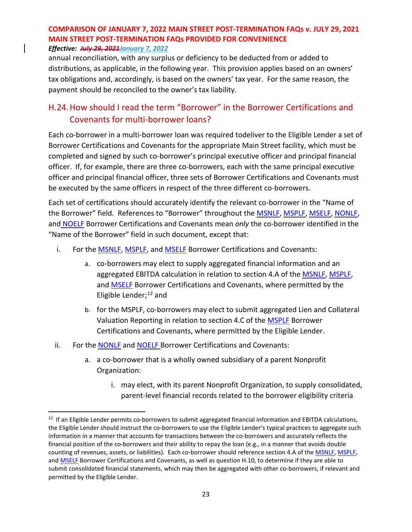#### *Effective: July 29, 2021January 7, 2022*

annual reconciliation, with any surplus or deficiency to be deducted from or added to distributions, as applicable, in the following year. This provision applies based on an owners' tax obligations and, accordingly, is based on the owners' tax year. For the same reason, the payment should be reconciled to the owner's tax liability.

### H.24.How should I read the term "Borrower" in the Borrower Certifications and Covenants for multi-borrower loans?

Each co-borrower in a multi-borrower loan was required todeliver to the Eligible Lender a set of Borrower Certifications and Covenants for the appropriate Main Street facility, which must be completed and signed by such co-borrower's principal executive officer and principal financial officer. If, for example, there are three co-borrowers, each with the same principal executive officer and principal financial officer, three sets of Borrower Certifications and Covenants must be executed by the same officers in respect of the three different co-borrowers.

Each set of certifications should accurately identify the relevant co-borrower in the "Name of the Borrower" field. References to "Borrower" throughout the **MSNLF, [MSPLF,](https://www.bostonfed.org/-/media/Documents/special-lending-facilities/mslp/legal/msplf-borrower-certifications-and-covenants.pdf?la=en) [MSELF,](https://www.bostonfed.org/-/media/Documents/special-lending-facilities/mslp/legal/mself-borrower-certifications-and-covenants.pdf?la=en) [NONLF,](https://www.bostonfed.org/-/media/Documents/special-lending-facilities/mslp/legal/nonlf-borrower-certifications-and-covenants.pdf?la=en)** and [NOELF](https://www.bostonfed.org/-/media/Documents/special-lending-facilities/mslp/legal/noelf-borrower-certifications-and-covenants.pdf?la=en) Borrower Certifications and Covenants mean *only* the co-borrower identified in the "Name of the Borrower" field in such document, except that:

- i. For the **MSNLF, MSPLF**, and **MSELF** Borrower Certifications and Covenants:
	- a. co-borrowers may elect to supply aggregated financial information and an aggregated EBITDA calculation in relation to section 4.A of the [MSNLF,](https://www.bostonfed.org/-/media/Documents/special-lending-facilities/mslp/legal/msnlf-borrower-certifications-and-covenants.pdf?la=en) [MSPLF,](https://www.bostonfed.org/-/media/Documents/special-lending-facilities/mslp/legal/msplf-borrower-certifications-and-covenants.pdf?la=en) and [MSELF](https://www.bostonfed.org/-/media/Documents/special-lending-facilities/mslp/legal/mself-borrower-certifications-and-covenants.pdf?la=en) Borrower Certifications and Covenants, where permitted by the Eligible Lender; $^{12}$  $^{12}$  $^{12}$  and
	- b. for the MSPLF, co-borrowers may elect to submit aggregated Lien and Collateral Valuation Reporting in relation to section 4.C of the [MSPLF](https://www.bostonfed.org/-/media/Documents/special-lending-facilities/mslp/legal/msplf-borrower-certifications-and-covenants.pdf?la=en) Borrower Certifications and Covenants, where permitted by the Eligible Lender.
- ii. For the **NONLF** and **NOELF** Borrower Certifications and Covenants:
	- a. a co-borrower that is a wholly owned subsidiary of a parent Nonprofit Organization:
		- i. may elect, with its parent Nonprofit Organization, to supply consolidated, parent-level financial records related to the borrower eligibility criteria

<span id="page-22-0"></span> $12$  If an Eligible Lender permits co-borrowers to submit aggregated financial information and EBITDA calculations, the Eligible Lender should instruct the co-borrowers to use the Eligible Lender's typical practices to aggregate such information in a manner that accounts for transactions between the co-borrowers and accurately reflects the financial position of the co-borrowers and their ability to repay the loan (e.g., in a manner that avoids double counting of revenues, assets, or liabilities). Each co-borrower should reference section 4.A of th[e MSNLF,](https://www.bostonfed.org/-/media/Documents/special-lending-facilities/mslp/legal/msnlf-borrower-certifications-and-covenants.pdf?la=en) [MSPLF,](https://www.bostonfed.org/-/media/Documents/special-lending-facilities/mslp/legal/msplf-borrower-certifications-and-covenants.pdf?la=en) an[d MSELF](https://www.bostonfed.org/-/media/Documents/special-lending-facilities/mslp/legal/mself-borrower-certifications-and-covenants.pdf?la=en) Borrower Certifications and Covenants, as well as question H.10, to determine if they are able to submit consolidated financial statements, which may then be aggregated with other co-borrowers, if relevant and permitted by the Eligible Lender.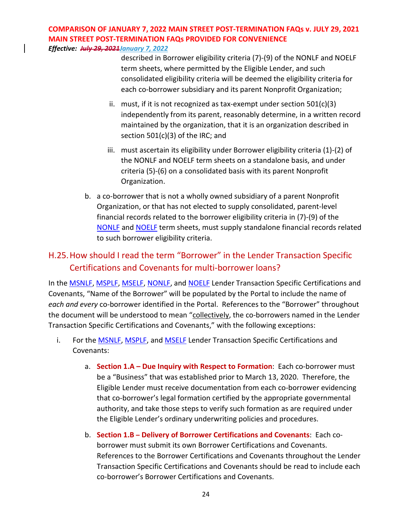*Effective: July 29, 2021January 7, 2022*

described in Borrower eligibility criteria (7)-(9) of the [NONLF](https://www.federalreserve.gov/newsevents/pressreleases/files/monetary20201030a4.pdf) an[d NOELF](https://www.federalreserve.gov/newsevents/pressreleases/files/monetary20201030a5.pdf) term sheets, where permitted by the Eligible Lender, and such consolidated eligibility criteria will be deemed the eligibility criteria for each co-borrower subsidiary and its parent Nonprofit Organization;

- ii. must, if it is not recognized as tax-exempt under section 501(c)(3) independently from its parent, reasonably determine, in a written record maintained by the organization, that it is an organization described in section 501(c)(3) of the IRC; and
- iii. must ascertain its eligibility under Borrower eligibility criteria (1)-(2) of the [NONLF](https://www.federalreserve.gov/newsevents/pressreleases/files/monetary20201030a4.pdf) and [NOELF](https://www.federalreserve.gov/newsevents/pressreleases/files/monetary20201030a5.pdf) term sheets on a standalone basis, and under criteria (5)-(6) on a consolidated basis with its parent Nonprofit Organization.
- b. a co-borrower that is not a wholly owned subsidiary of a parent Nonprofit Organization, or that has not elected to supply consolidated, parent-level financial records related to the borrower eligibility criteria in (7)-(9) of the [NONLF](https://www.federalreserve.gov/newsevents/pressreleases/files/monetary20201030a4.pdf) and [NOELF](https://www.federalreserve.gov/newsevents/pressreleases/files/monetary20201030a5.pdf) term sheets, must supply standalone financial records related to such borrower eligibility criteria.

## H.25.How should I read the term "Borrower" in the Lender Transaction Specific Certifications and Covenants for multi-borrower loans?

In the **MSNLF, [MSPLF,](https://www.bostonfed.org/-/media/Documents/special-lending-facilities/mslp/legal/msplf-borrower-certifications-and-covenants.pdf?la=en) [MSELF,](https://www.bostonfed.org/-/media/Documents/special-lending-facilities/mslp/legal/mself-lender-transaction-specific-certifications-and-covenants.pdf?la=en) NONLF**, and **NOELF** Lender Transaction Specific Certifications and Covenants, "Name of the Borrower" will be populated by the Portal to include the name of *each and every* co-borrower identified in the Portal. References to the "Borrower" throughout the document will be understood to mean "collectively, the co-borrowers named in the Lender Transaction Specific Certifications and Covenants," with the following exceptions:

- i. For th[e MSNLF,](https://www.bostonfed.org/-/media/Documents/special-lending-facilities/mslp/legal/msnlf-lender-transaction-specific-certifications-and-covenants.pdf?la=en) [MSPLF,](https://www.bostonfed.org/-/media/Documents/special-lending-facilities/mslp/legal/msplf-borrower-certifications-and-covenants.pdf?la=en) and [MSELF](https://www.bostonfed.org/-/media/Documents/special-lending-facilities/mslp/legal/mself-lender-transaction-specific-certifications-and-covenants.pdf?la=en) Lender Transaction Specific Certifications and Covenants:
	- a. **Section 1.A – Due Inquiry with Respect to Formation**: Each co-borrower must be a "Business" that was established prior to March 13, 2020. Therefore, the Eligible Lender must receive documentation from each co-borrower evidencing that co-borrower's legal formation certified by the appropriate governmental authority, and take those steps to verify such formation as are required under the Eligible Lender's ordinary underwriting policies and procedures.
	- b. **Section 1.B – Delivery of Borrower Certifications and Covenants**: Each coborrower must submit its own Borrower Certifications and Covenants. References to the Borrower Certifications and Covenants throughout the Lender Transaction Specific Certifications and Covenants should be read to include each co-borrower's Borrower Certifications and Covenants.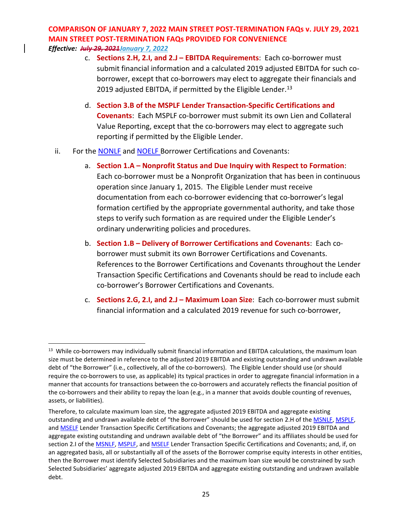*Effective: July 29, 2021January 7, 2022*

- c. **Sections 2.H, 2.I, and 2.J – EBITDA Requirements**: Each co-borrower must submit financial information and a calculated 2019 adjusted EBITDA for such coborrower, except that co-borrowers may elect to aggregate their financials and 2019 adjusted EBITDA, if permitted by the Eligible Lender.<sup>13</sup>
- d. **Section 3.B of the MSPLF Lender Transaction-Specific Certifications and Covenants**: Each MSPLF co-borrower must submit its own Lien and Collateral Value Reporting, except that the co-borrowers may elect to aggregate such reporting if permitted by the Eligible Lender.
- ii. For the NONLF and NOELF Borrower Certifications and Covenants:
	- a. **Section 1.A – Nonprofit Status and Due Inquiry with Respect to Formation**: Each co-borrower must be a Nonprofit Organization that has been in continuous operation since January 1, 2015. The Eligible Lender must receive documentation from each co-borrower evidencing that co-borrower's legal formation certified by the appropriate governmental authority, and take those steps to verify such formation as are required under the Eligible Lender's ordinary underwriting policies and procedures.
	- b. **Section 1.B – Delivery of Borrower Certifications and Covenants**: Each coborrower must submit its own Borrower Certifications and Covenants. References to the Borrower Certifications and Covenants throughout the Lender Transaction Specific Certifications and Covenants should be read to include each co-borrower's Borrower Certifications and Covenants.
	- c. **Sections 2.G, 2.I, and 2.J – Maximum Loan Size**: Each co-borrower must submit financial information and a calculated 2019 revenue for such co-borrower,

<span id="page-24-0"></span><sup>&</sup>lt;sup>13</sup> While co-borrowers may individually submit financial information and EBITDA calculations, the maximum loan size must be determined in reference to the adjusted 2019 EBITDA and existing outstanding and undrawn available debt of "the Borrower" (i.e., collectively, all of the co-borrowers). The Eligible Lender should use (or should require the co-borrowers to use, as applicable) its typical practices in order to aggregate financial information in a manner that accounts for transactions between the co-borrowers and accurately reflects the financial position of the co-borrowers and their ability to repay the loan (e.g., in a manner that avoids double counting of revenues, assets, or liabilities).

Therefore, to calculate maximum loan size, the aggregate adjusted 2019 EBITDA and aggregate existing outstanding and undrawn available debt of "the Borrower" should be used for section 2.H of the [MSNLF,](https://www.bostonfed.org/-/media/Documents/special-lending-facilities/mslp/legal/msnlf-lender-transaction-specific-certifications-and-covenants.pdf?la=en) [MSPLF,](https://www.bostonfed.org/-/media/Documents/special-lending-facilities/mslp/legal/msplf-borrower-certifications-and-covenants.pdf?la=en) an[d MSELF](https://www.bostonfed.org/-/media/Documents/special-lending-facilities/mslp/legal/mself-lender-transaction-specific-certifications-and-covenants.pdf?la=en) Lender Transaction Specific Certifications and Covenants; the aggregate adjusted 2019 EBITDA and aggregate existing outstanding and undrawn available debt of "the Borrower" and its affiliates should be used for section 2.I of th[e MSNLF,](https://www.bostonfed.org/-/media/Documents/special-lending-facilities/mslp/legal/msnlf-lender-transaction-specific-certifications-and-covenants.pdf?la=en) [MSPLF,](https://www.bostonfed.org/-/media/Documents/special-lending-facilities/mslp/legal/msplf-borrower-certifications-and-covenants.pdf?la=en) and [MSELF](https://www.bostonfed.org/-/media/Documents/special-lending-facilities/mslp/legal/mself-lender-transaction-specific-certifications-and-covenants.pdf?la=en) Lender Transaction Specific Certifications and Covenants; and, if, on an aggregated basis, all or substantially all of the assets of the Borrower comprise equity interests in other entities, then the Borrower must identify Selected Subsidiaries and the maximum loan size would be constrained by such Selected Subsidiaries' aggregate adjusted 2019 EBITDA and aggregate existing outstanding and undrawn available debt.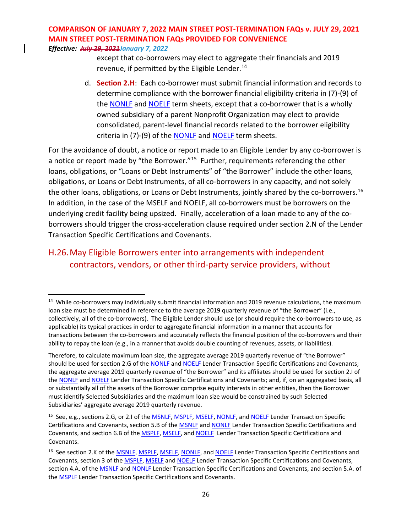*Effective: July 29, 2021January 7, 2022*

except that co-borrowers may elect to aggregate their financials and 2019 revenue, if permitted by the Eligible Lender.<sup>[14](#page-25-0)</sup>

d. **Section 2.H**: Each co-borrower must submit financial information and records to determine compliance with the borrower financial eligibility criteria in (7)-(9) of the [NONLF](https://www.federalreserve.gov/newsevents/pressreleases/files/monetary20201030a4.pdf) and [NOELF](https://www.federalreserve.gov/newsevents/pressreleases/files/monetary20201030a5.pdf) term sheets, except that a co-borrower that is a wholly owned subsidiary of a parent Nonprofit Organization may elect to provide consolidated, parent-level financial records related to the borrower eligibility criteria in (7)-(9) of the [NONLF](https://www.federalreserve.gov/newsevents/pressreleases/files/monetary20201030a4.pdf) and [NOELF](https://www.federalreserve.gov/newsevents/pressreleases/files/monetary20201030a5.pdf) term sheets.

For the avoidance of doubt, a notice or report made to an Eligible Lender by any co-borrower is a notice or report made by "the Borrower."<sup>[15](#page-25-1)</sup> Further, requirements referencing the other loans, obligations, or "Loans or Debt Instruments" of "the Borrower" include the other loans, obligations, or Loans or Debt Instruments, of all co-borrowers in any capacity, and not solely the other loans, obligations, or Loans or Debt Instruments, jointly shared by the co-borrowers.<sup>[16](#page-25-2)</sup> In addition, in the case of the MSELF and NOELF, all co-borrowers must be borrowers on the underlying credit facility being upsized. Finally, acceleration of a loan made to any of the coborrowers should trigger the cross-acceleration clause required under section 2.N of the Lender Transaction Specific Certifications and Covenants.

## H.26.May Eligible Borrowers enter into arrangements with independent contractors, vendors, or other third-party service providers, without

<span id="page-25-0"></span><sup>&</sup>lt;sup>14</sup> While co-borrowers may individually submit financial information and 2019 revenue calculations, the maximum loan size must be determined in reference to the average 2019 quarterly revenue of "the Borrower" (i.e., collectively, all of the co-borrowers). The Eligible Lender should use (or should require the co-borrowers to use, as applicable) its typical practices in order to aggregate financial information in a manner that accounts for transactions between the co-borrowers and accurately reflects the financial position of the co-borrowers and their ability to repay the loan (e.g., in a manner that avoids double counting of revenues, assets, or liabilities).

Therefore, to calculate maximum loan size, the aggregate average 2019 quarterly revenue of "the Borrower" should be used for section 2.G of the [NONLF](https://www.bostonfed.org/-/media/Documents/special-lending-facilities/mslp/legal/nonlf-lender-transaction-specific-certifications-and-covenants.pdf) and [NOELF](https://www.bostonfed.org/-/media/Documents/special-lending-facilities/mslp/legal/noelf-lender-transaction-specific-certifications-and-covenants.pdf) Lender Transaction Specific Certifications and Covenants; the aggregate average 2019 quarterly revenue of "the Borrower" and its affiliates should be used for section 2.I of the [NONLF](https://www.bostonfed.org/-/media/Documents/special-lending-facilities/mslp/legal/nonlf-lender-transaction-specific-certifications-and-covenants.pdf) and [NOELF](https://www.bostonfed.org/-/media/Documents/special-lending-facilities/mslp/legal/noelf-lender-transaction-specific-certifications-and-covenants.pdf) Lender Transaction Specific Certifications and Covenants; and, if, on an aggregated basis, all or substantially all of the assets of the Borrower comprise equity interests in other entities, then the Borrower must identify Selected Subsidiaries and the maximum loan size would be constrained by such Selected Subsidiaries' aggregate average 2019 quarterly revenue.

<span id="page-25-1"></span><sup>&</sup>lt;sup>15</sup> See, e.g., sections 2.G, or 2.I of the **MSNLF**, [MSPLF,](https://www.bostonfed.org/-/media/Documents/special-lending-facilities/mslp/legal/msplf-borrower-certifications-and-covenants.pdf?la=en) [MSELF,](https://www.bostonfed.org/-/media/Documents/special-lending-facilities/mslp/legal/mself-lender-transaction-specific-certifications-and-covenants.pdf?la=en) [NONLF,](https://www.bostonfed.org/-/media/Documents/special-lending-facilities/mslp/legal/nonlf-lender-transaction-specific-certifications-and-covenants.pdf) and [NOELF](https://www.bostonfed.org/-/media/Documents/special-lending-facilities/mslp/legal/noelf-lender-transaction-specific-certifications-and-covenants.pdf) Lender Transaction Specific Certifications and Covenants, section 5.B of th[e MSNLF](https://www.bostonfed.org/-/media/Documents/special-lending-facilities/mslp/legal/msnlf-lender-transaction-specific-certifications-and-covenants.pdf?la=en) an[d NONLF](https://www.bostonfed.org/-/media/Documents/special-lending-facilities/mslp/legal/nonlf-lender-transaction-specific-certifications-and-covenants.pdf) Lender Transaction Specific Certifications and Covenants, and section 6.B of the [MSPLF,](https://www.bostonfed.org/-/media/Documents/special-lending-facilities/mslp/legal/msplf-borrower-certifications-and-covenants.pdf?la=en) [MSELF,](https://www.bostonfed.org/-/media/Documents/special-lending-facilities/mslp/legal/mself-lender-transaction-specific-certifications-and-covenants.pdf?la=en) and [NOELF](https://www.bostonfed.org/-/media/Documents/special-lending-facilities/mslp/legal/noelf-lender-transaction-specific-certifications-and-covenants.pdf) Lender Transaction Specific Certifications and Covenants.

<span id="page-25-2"></span><sup>&</sup>lt;sup>16</sup> See section 2.K of the **MSNLF, [MSPLF,](https://www.bostonfed.org/-/media/Documents/special-lending-facilities/mslp/legal/msplf-borrower-certifications-and-covenants.pdf?la=en) [MSELF,](https://www.bostonfed.org/-/media/Documents/special-lending-facilities/mslp/legal/mself-lender-transaction-specific-certifications-and-covenants.pdf?la=en) [NONLF,](https://www.bostonfed.org/-/media/Documents/special-lending-facilities/mslp/legal/nonlf-lender-transaction-specific-certifications-and-covenants.pdf) and [NOELF](https://www.bostonfed.org/-/media/Documents/special-lending-facilities/mslp/legal/noelf-lender-transaction-specific-certifications-and-covenants.pdf)** Lender Transaction Specific Certifications and Covenants, section 3 of th[e MSPLF,](https://www.bostonfed.org/-/media/Documents/special-lending-facilities/mslp/legal/msplf-borrower-certifications-and-covenants.pdf?la=en) [MSELF](https://www.bostonfed.org/-/media/Documents/special-lending-facilities/mslp/legal/mself-lender-transaction-specific-certifications-and-covenants.pdf?la=en) and [NOELF](https://www.bostonfed.org/-/media/Documents/special-lending-facilities/mslp/legal/noelf-lender-transaction-specific-certifications-and-covenants.pdf) Lender Transaction Specific Certifications and Covenants, section 4.A. of the **MSNLF** and **NONLF** Lender Transaction Specific Certifications and Covenants, and section 5.A. of the [MSPLF](https://www.bostonfed.org/-/media/Documents/special-lending-facilities/mslp/legal/msplf-borrower-certifications-and-covenants.pdf?la=en) Lender Transaction Specific Certifications and Covenants.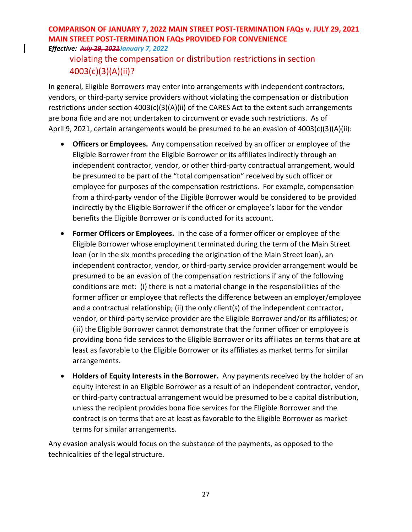### violating the compensation or distribution restrictions in section 4003(c)(3)(A)(ii)?

In general, Eligible Borrowers may enter into arrangements with independent contractors, vendors, or third-party service providers without violating the compensation or distribution restrictions under section 4003(c)(3)(A)(ii) of the CARES Act to the extent such arrangements are bona fide and are not undertaken to circumvent or evade such restrictions. As of April 9, 2021, certain arrangements would be presumed to be an evasion of 4003(c)(3)(A)(ii):

- **Officers or Employees.** Any compensation received by an officer or employee of the Eligible Borrower from the Eligible Borrower or its affiliates indirectly through an independent contractor, vendor, or other third-party contractual arrangement, would be presumed to be part of the "total compensation" received by such officer or employee for purposes of the compensation restrictions. For example, compensation from a third-party vendor of the Eligible Borrower would be considered to be provided indirectly by the Eligible Borrower if the officer or employee's labor for the vendor benefits the Eligible Borrower or is conducted for its account.
- **Former Officers or Employees.** In the case of a former officer or employee of the Eligible Borrower whose employment terminated during the term of the Main Street loan (or in the six months preceding the origination of the Main Street loan), an independent contractor, vendor, or third-party service provider arrangement would be presumed to be an evasion of the compensation restrictions if any of the following conditions are met: (i) there is not a material change in the responsibilities of the former officer or employee that reflects the difference between an employer/employee and a contractual relationship; (ii) the only client(s) of the independent contractor, vendor, or third-party service provider are the Eligible Borrower and/or its affiliates; or (iii) the Eligible Borrower cannot demonstrate that the former officer or employee is providing bona fide services to the Eligible Borrower or its affiliates on terms that are at least as favorable to the Eligible Borrower or its affiliates as market terms for similar arrangements.
- **Holders of Equity Interests in the Borrower.** Any payments received by the holder of an equity interest in an Eligible Borrower as a result of an independent contractor, vendor, or third-party contractual arrangement would be presumed to be a capital distribution, unless the recipient provides bona fide services for the Eligible Borrower and the contract is on terms that are at least as favorable to the Eligible Borrower as market terms for similar arrangements.

Any evasion analysis would focus on the substance of the payments, as opposed to the technicalities of the legal structure.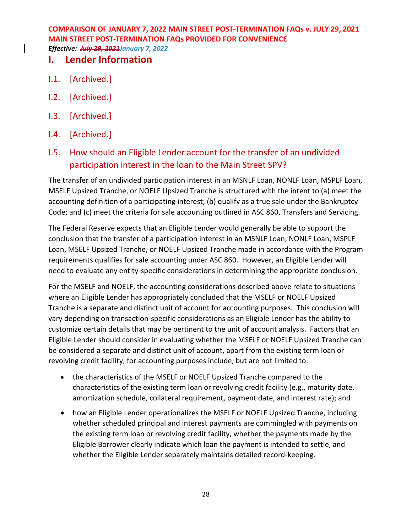### **I. Lender Information**

- I.1. [Archived.]
- I.2. [Archived.]
- I.3. [Archived.]
- I.4. [Archived.]
- I.5. How should an Eligible Lender account for the transfer of an undivided participation interest in the loan to the Main Street SPV?

The transfer of an undivided participation interest in an MSNLF Loan, NONLF Loan, MSPLF Loan, MSELF Upsized Tranche, or NOELF Upsized Tranche is structured with the intent to (a) meet the accounting definition of a participating interest; (b) qualify as a true sale under the Bankruptcy Code; and (c) meet the criteria for sale accounting outlined in ASC 860, Transfers and Servicing.

The Federal Reserve expects that an Eligible Lender would generally be able to support the conclusion that the transfer of a participation interest in an MSNLF Loan, NONLF Loan, MSPLF Loan, MSELF Upsized Tranche, or NOELF Upsized Tranche made in accordance with the Program requirements qualifies for sale accounting under ASC 860. However, an Eligible Lender will need to evaluate any entity-specific considerations in determining the appropriate conclusion.

For the MSELF and NOELF, the accounting considerations described above relate to situations where an Eligible Lender has appropriately concluded that the MSELF or NOELF Upsized Tranche is a separate and distinct unit of account for accounting purposes. This conclusion will vary depending on transaction-specific considerations as an Eligible Lender has the ability to customize certain details that may be pertinent to the unit of account analysis. Factors that an Eligible Lender should consider in evaluating whether the MSELF or NOELF Upsized Tranche can be considered a separate and distinct unit of account, apart from the existing term loan or revolving credit facility, for accounting purposes include, but are not limited to:

- the characteristics of the MSELF or NOELF Upsized Tranche compared to the characteristics of the existing term loan or revolving credit facility (e.g., maturity date, amortization schedule, collateral requirement, payment date, and interest rate); and
- how an Eligible Lender operationalizes the MSELF or NOELF Upsized Tranche, including whether scheduled principal and interest payments are commingled with payments on the existing term loan or revolving credit facility, whether the payments made by the Eligible Borrower clearly indicate which loan the payment is intended to settle, and whether the Eligible Lender separately maintains detailed record-keeping.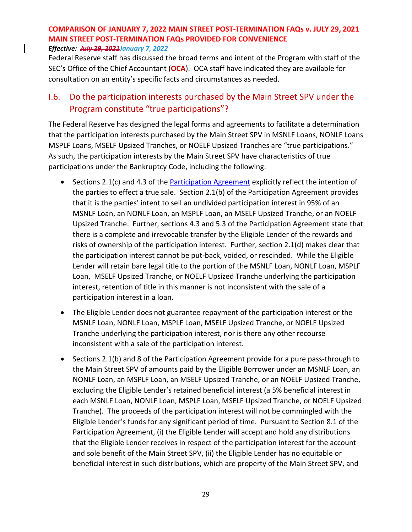Federal Reserve staff has discussed the broad terms and intent of the Program with staff of the SEC's Office of the Chief Accountant (**OCA**). OCA staff have indicated they are available for consultation on an entity's specific facts and circumstances as needed.

### I.6. Do the participation interests purchased by the Main Street SPV under the Program constitute "true participations"?

The Federal Reserve has designed the legal forms and agreements to facilitate a determination that the participation interests purchased by the Main Street SPV in MSNLF Loans, NONLF Loans MSPLF Loans, MSELF Upsized Tranches, or NOELF Upsized Tranches are "true participations." As such, the participation interests by the Main Street SPV have characteristics of true participations under the Bankruptcy Code, including the following:

- Sections 2.1(c) and 4.3 of the [Participation Agreement](https://www.bostonfed.org/-/media/Documents/special-lending-facilities/mslp/legal/loan-participation-agreement-standard-terms-and-conditions.pdf?la=en) explicitly reflect the intention of the parties to effect a true sale. Section 2.1(b) of the Participation Agreement provides that it is the parties' intent to sell an undivided participation interest in 95% of an MSNLF Loan, an NONLF Loan, an MSPLF Loan, an MSELF Upsized Tranche, or an NOELF Upsized Tranche. Further, sections 4.3 and 5.3 of the Participation Agreement state that there is a complete and irrevocable transfer by the Eligible Lender of the rewards and risks of ownership of the participation interest. Further, section 2.1(d) makes clear that the participation interest cannot be put-back, voided, or rescinded. While the Eligible Lender will retain bare legal title to the portion of the MSNLF Loan, NONLF Loan, MSPLF Loan, MSELF Upsized Tranche, or NOELF Upsized Tranche underlying the participation interest, retention of title in this manner is not inconsistent with the sale of a participation interest in a loan.
- The Eligible Lender does not guarantee repayment of the participation interest or the MSNLF Loan, NONLF Loan, MSPLF Loan, MSELF Upsized Tranche, or NOELF Upsized Tranche underlying the participation interest, nor is there any other recourse inconsistent with a sale of the participation interest.
- Sections 2.1(b) and 8 of the Participation Agreement provide for a pure pass-through to the Main Street SPV of amounts paid by the Eligible Borrower under an MSNLF Loan, an NONLF Loan, an MSPLF Loan, an MSELF Upsized Tranche, or an NOELF Upsized Tranche, excluding the Eligible Lender's retained beneficial interest (a 5% beneficial interest in each MSNLF Loan, NONLF Loan, MSPLF Loan, MSELF Upsized Tranche, or NOELF Upsized Tranche). The proceeds of the participation interest will not be commingled with the Eligible Lender's funds for any significant period of time. Pursuant to Section 8.1 of the Participation Agreement, (i) the Eligible Lender will accept and hold any distributions that the Eligible Lender receives in respect of the participation interest for the account and sole benefit of the Main Street SPV, (ii) the Eligible Lender has no equitable or beneficial interest in such distributions, which are property of the Main Street SPV, and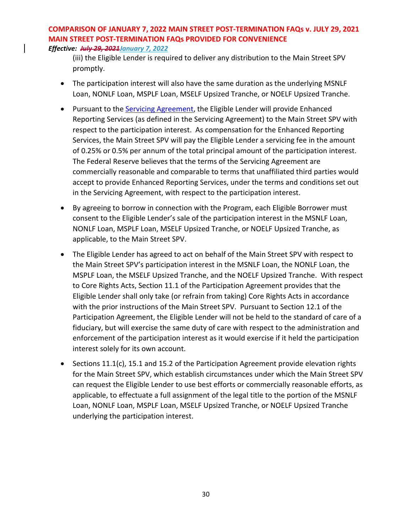(iii) the Eligible Lender is required to deliver any distribution to the Main Street SPV promptly.

- The participation interest will also have the same duration as the underlying MSNLF Loan, NONLF Loan, MSPLF Loan, MSELF Upsized Tranche, or NOELF Upsized Tranche.
- Pursuant to the [Servicing Agreement,](https://www.bostonfed.org/-/media/Documents/special-lending-facilities/mslp/legal/servicing-agreement.pdf?la=en) the Eligible Lender will provide Enhanced Reporting Services (as defined in the Servicing Agreement) to the Main Street SPV with respect to the participation interest. As compensation for the Enhanced Reporting Services, the Main Street SPV will pay the Eligible Lender a servicing fee in the amount of 0.25% or 0.5% per annum of the total principal amount of the participation interest. The Federal Reserve believes that the terms of the Servicing Agreement are commercially reasonable and comparable to terms that unaffiliated third parties would accept to provide Enhanced Reporting Services, under the terms and conditions set out in the Servicing Agreement, with respect to the participation interest.
- By agreeing to borrow in connection with the Program, each Eligible Borrower must consent to the Eligible Lender's sale of the participation interest in the MSNLF Loan, NONLF Loan, MSPLF Loan, MSELF Upsized Tranche, or NOELF Upsized Tranche, as applicable, to the Main Street SPV.
- The Eligible Lender has agreed to act on behalf of the Main Street SPV with respect to the Main Street SPV's participation interest in the MSNLF Loan, the NONLF Loan, the MSPLF Loan, the MSELF Upsized Tranche, and the NOELF Upsized Tranche. With respect to Core Rights Acts, Section 11.1 of the Participation Agreement provides that the Eligible Lender shall only take (or refrain from taking) Core Rights Acts in accordance with the prior instructions of the Main Street SPV. Pursuant to Section 12.1 of the Participation Agreement, the Eligible Lender will not be held to the standard of care of a fiduciary, but will exercise the same duty of care with respect to the administration and enforcement of the participation interest as it would exercise if it held the participation interest solely for its own account.
- Sections 11.1(c), 15.1 and 15.2 of the Participation Agreement provide elevation rights for the Main Street SPV, which establish circumstances under which the Main Street SPV can request the Eligible Lender to use best efforts or commercially reasonable efforts, as applicable, to effectuate a full assignment of the legal title to the portion of the MSNLF Loan, NONLF Loan, MSPLF Loan, MSELF Upsized Tranche, or NOELF Upsized Tranche underlying the participation interest.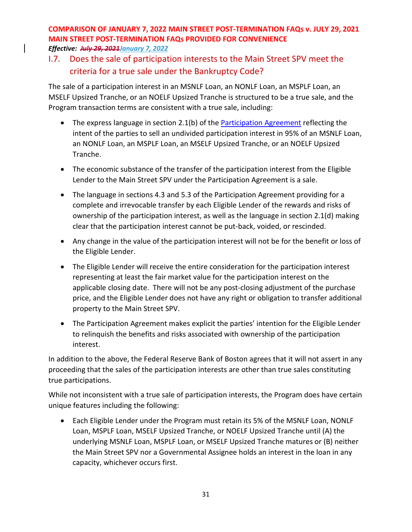### I.7. Does the sale of participation interests to the Main Street SPV meet the criteria for a true sale under the Bankruptcy Code?

The sale of a participation interest in an MSNLF Loan, an NONLF Loan, an MSPLF Loan, an MSELF Upsized Tranche, or an NOELF Upsized Tranche is structured to be a true sale, and the Program transaction terms are consistent with a true sale, including:

- The express language in section 2.1(b) of the [Participation Agreement](https://www.bostonfed.org/-/media/Documents/special-lending-facilities/mslp/legal/loan-participation-agreement-standard-terms-and-conditions.pdf?la=en) reflecting the intent of the parties to sell an undivided participation interest in 95% of an MSNLF Loan, an NONLF Loan, an MSPLF Loan, an MSELF Upsized Tranche, or an NOELF Upsized Tranche.
- The economic substance of the transfer of the participation interest from the Eligible Lender to the Main Street SPV under the Participation Agreement is a sale.
- The language in sections 4.3 and 5.3 of the Participation Agreement providing for a complete and irrevocable transfer by each Eligible Lender of the rewards and risks of ownership of the participation interest, as well as the language in section 2.1(d) making clear that the participation interest cannot be put-back, voided, or rescinded.
- Any change in the value of the participation interest will not be for the benefit or loss of the Eligible Lender.
- The Eligible Lender will receive the entire consideration for the participation interest representing at least the fair market value for the participation interest on the applicable closing date. There will not be any post-closing adjustment of the purchase price, and the Eligible Lender does not have any right or obligation to transfer additional property to the Main Street SPV.
- The Participation Agreement makes explicit the parties' intention for the Eligible Lender to relinquish the benefits and risks associated with ownership of the participation interest.

In addition to the above, the Federal Reserve Bank of Boston agrees that it will not assert in any proceeding that the sales of the participation interests are other than true sales constituting true participations.

While not inconsistent with a true sale of participation interests, the Program does have certain unique features including the following:

• Each Eligible Lender under the Program must retain its 5% of the MSNLF Loan, NONLF Loan, MSPLF Loan, MSELF Upsized Tranche, or NOELF Upsized Tranche until (A) the underlying MSNLF Loan, MSPLF Loan, or MSELF Upsized Tranche matures or (B) neither the Main Street SPV nor a Governmental Assignee holds an interest in the loan in any capacity, whichever occurs first.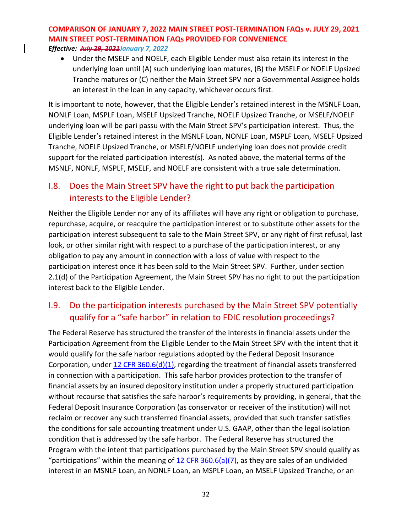• Under the MSELF and NOELF, each Eligible Lender must also retain its interest in the underlying loan until (A) such underlying loan matures, (B) the MSELF or NOELF Upsized Tranche matures or (C) neither the Main Street SPV nor a Governmental Assignee holds an interest in the loan in any capacity, whichever occurs first.

It is important to note, however, that the Eligible Lender's retained interest in the MSNLF Loan, NONLF Loan, MSPLF Loan, MSELF Upsized Tranche, NOELF Upsized Tranche, or MSELF/NOELF underlying loan will be pari passu with the Main Street SPV's participation interest. Thus, the Eligible Lender's retained interest in the MSNLF Loan, NONLF Loan, MSPLF Loan, MSELF Upsized Tranche, NOELF Upsized Tranche, or MSELF/NOELF underlying loan does not provide credit support for the related participation interest(s). As noted above, the material terms of the MSNLF, NONLF, MSPLF, MSELF, and NOELF are consistent with a true sale determination.

### I.8. Does the Main Street SPV have the right to put back the participation interests to the Eligible Lender?

Neither the Eligible Lender nor any of its affiliates will have any right or obligation to purchase, repurchase, acquire, or reacquire the participation interest or to substitute other assets for the participation interest subsequent to sale to the Main Street SPV, or any right of first refusal, last look, or other similar right with respect to a purchase of the participation interest, or any obligation to pay any amount in connection with a loss of value with respect to the participation interest once it has been sold to the Main Street SPV. Further, under section 2.1(d) of the Participation Agreement, the Main Street SPV has no right to put the participation interest back to the Eligible Lender.

## I.9. Do the participation interests purchased by the Main Street SPV potentially qualify for a "safe harbor" in relation to FDIC resolution proceedings?

The Federal Reserve has structured the transfer of the interests in financial assets under the Participation Agreement from the Eligible Lender to the Main Street SPV with the intent that it would qualify for the safe harbor regulations adopted by the Federal Deposit Insurance Corporation, under  $12$  CFR 360.6(d)(1), regarding the treatment of financial assets transferred in connection with a participation. This safe harbor provides protection to the transfer of financial assets by an insured depository institution under a properly structured participation without recourse that satisfies the safe harbor's requirements by providing, in general, that the Federal Deposit Insurance Corporation (as conservator or receiver of the institution) will not reclaim or recover any such transferred financial assets, provided that such transfer satisfies the conditions for sale accounting treatment under U.S. GAAP, other than the legal isolation condition that is addressed by the safe harbor. The Federal Reserve has structured the Program with the intent that participations purchased by the Main Street SPV should qualify as "participations" within the meaning of  $12$  CFR 360.6(a)(7), as they are sales of an undivided interest in an MSNLF Loan, an NONLF Loan, an MSPLF Loan, an MSELF Upsized Tranche, or an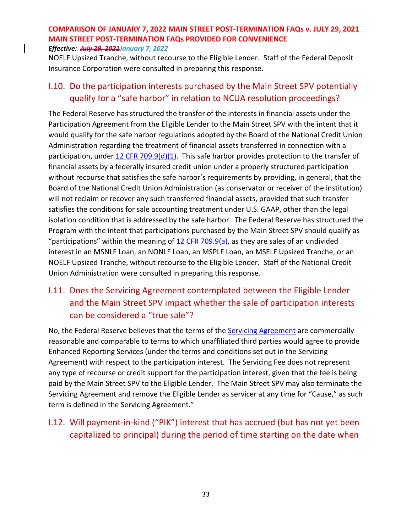NOELF Upsized Tranche, without recourse to the Eligible Lender. Staff of the Federal Deposit Insurance Corporation were consulted in preparing this response.

### I.10. Do the participation interests purchased by the Main Street SPV potentially qualify for a "safe harbor" in relation to NCUA resolution proceedings?

The Federal Reserve has structured the transfer of the interests in financial assets under the Participation Agreement from the Eligible Lender to the Main Street SPV with the intent that it would qualify for the safe harbor regulations adopted by the Board of the National Credit Union Administration regarding the treatment of financial assets transferred in connection with a participation, under [12 CFR 709.9\(d\)\(1\).](https://ecfr.io/Title-12/Section-709.9) This safe harbor provides protection to the transfer of financial assets by a federally insured credit union under a properly structured participation without recourse that satisfies the safe harbor's requirements by providing, in general, that the Board of the National Credit Union Administration (as conservator or receiver of the institution) will not reclaim or recover any such transferred financial assets, provided that such transfer satisfies the conditions for sale accounting treatment under U.S. GAAP, other than the legal isolation condition that is addressed by the safe harbor. The Federal Reserve has structured the Program with the intent that participations purchased by the Main Street SPV should qualify as "participations" within the meaning of  $12$  CFR 709.9(a), as they are sales of an undivided interest in an MSNLF Loan, an NONLF Loan, an MSPLF Loan, an MSELF Upsized Tranche, or an NOELF Upsized Tranche, without recourse to the Eligible Lender. Staff of the National Credit Union Administration were consulted in preparing this response.

## I.11. Does the Servicing Agreement contemplated between the Eligible Lender and the Main Street SPV impact whether the sale of participation interests can be considered a "true sale"?

No, the Federal Reserve believes that the terms of th[e Servicing Agreement](https://www.bostonfed.org/-/media/Documents/special-lending-facilities/mslp/legal/servicing-agreement.pdf?la=en) are commercially reasonable and comparable to terms to which unaffiliated third parties would agree to provide Enhanced Reporting Services (under the terms and conditions set out in the Servicing Agreement) with respect to the participation interest. The Servicing Fee does not represent any type of recourse or credit support for the participation interest, given that the fee is being paid by the Main Street SPV to the Eligible Lender. The Main Street SPV may also terminate the Servicing Agreement and remove the Eligible Lender as servicer at any time for "Cause," as such term is defined in the Servicing Agreement."

## I.12. Will payment-in-kind ("PIK") interest that has accrued (but has not yet been capitalized to principal) during the period of time starting on the date when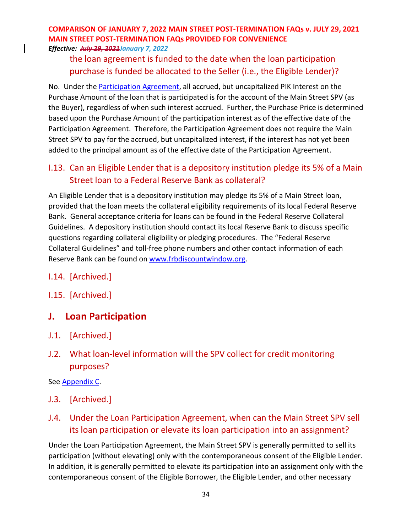### the loan agreement is funded to the date when the loan participation purchase is funded be allocated to the Seller (i.e., the Eligible Lender)?

No. Under th[e Participation Agreement,](https://www.bostonfed.org/-/media/Documents/special-lending-facilities/mslp/legal/loan-participation-agreement-standard-terms-and-conditions.pdf?la=en) all accrued, but uncapitalized PIK Interest on the Purchase Amount of the loan that is participated is for the account of the Main Street SPV (as the Buyer), regardless of when such interest accrued. Further, the Purchase Price is determined based upon the Purchase Amount of the participation interest as of the effective date of the Participation Agreement. Therefore, the Participation Agreement does not require the Main Street SPV to pay for the accrued, but uncapitalized interest, if the interest has not yet been added to the principal amount as of the effective date of the Participation Agreement.

### I.13. Can an Eligible Lender that is a depository institution pledge its 5% of a Main Street loan to a Federal Reserve Bank as collateral?

An Eligible Lender that is a depository institution may pledge its 5% of a Main Street loan, provided that the loan meets the collateral eligibility requirements of its local Federal Reserve Bank. General acceptance criteria for loans can be found in the Federal Reserve Collateral Guidelines. A depository institution should contact its local Reserve Bank to discuss specific questions regarding collateral eligibility or pledging procedures. The "Federal Reserve Collateral Guidelines" and toll-free phone numbers and other contact information of each Reserve Bank can be found on [www.frbdiscountwindow.org.](http://www.frbdiscountwindow.org/)

- I.14. [Archived.]
- I.15. [Archived.]

## **J. Loan Participation**

- J.1. [Archived.]
- J.2. What loan-level information will the SPV collect for credit monitoring purposes?

See [Appendix C.](#page-48-0)

J.3. [Archived.]

## <span id="page-33-0"></span>J.4. Under the Loan Participation Agreement, when can the Main Street SPV sell its loan participation or elevate its loan participation into an assignment?

Under the Loan Participation Agreement, the Main Street SPV is generally permitted to sell its participation (without elevating) only with the contemporaneous consent of the Eligible Lender. In addition, it is generally permitted to elevate its participation into an assignment only with the contemporaneous consent of the Eligible Borrower, the Eligible Lender, and other necessary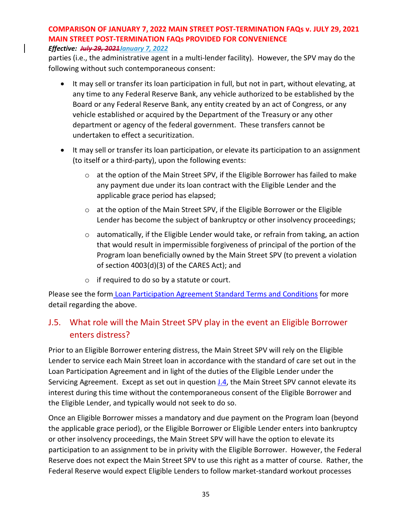#### *Effective: July 29, 2021January 7, 2022*

parties (i.e., the administrative agent in a multi-lender facility). However, the SPV may do the following without such contemporaneous consent:

- It may sell or transfer its loan participation in full, but not in part, without elevating, at any time to any Federal Reserve Bank, any vehicle authorized to be established by the Board or any Federal Reserve Bank, any entity created by an act of Congress, or any vehicle established or acquired by the Department of the Treasury or any other department or agency of the federal government. These transfers cannot be undertaken to effect a securitization.
- It may sell or transfer its loan participation, or elevate its participation to an assignment (to itself or a third-party), upon the following events:
	- o at the option of the Main Street SPV, if the Eligible Borrower has failed to make any payment due under its loan contract with the Eligible Lender and the applicable grace period has elapsed;
	- o at the option of the Main Street SPV, if the Eligible Borrower or the Eligible Lender has become the subject of bankruptcy or other insolvency proceedings;
	- $\circ$  automatically, if the Eligible Lender would take, or refrain from taking, an action that would result in impermissible forgiveness of principal of the portion of the Program loan beneficially owned by the Main Street SPV (to prevent a violation of section 4003(d)(3) of the CARES Act); and
	- o if required to do so by a statute or court.

Please see the form [Loan Participation Agreement Standard Terms and Conditions](https://www.bostonfed.org/-/media/Documents/special-lending-facilities/mslp/legal/loan-participation-agreement-standard-terms-and-conditions.pdf) for more detail regarding the above.

### J.5. What role will the Main Street SPV play in the event an Eligible Borrower enters distress?

Prior to an Eligible Borrower entering distress, the Main Street SPV will rely on the Eligible Lender to service each Main Street loan in accordance with the standard of care set out in the Loan Participation Agreement and in light of the duties of the Eligible Lender under the Servicing Agreement. Except as set out in question [J.4,](#page-33-0) the Main Street SPV cannot elevate its interest during this time without the contemporaneous consent of the Eligible Borrower and the Eligible Lender, and typically would not seek to do so.

Once an Eligible Borrower misses a mandatory and due payment on the Program loan (beyond the applicable grace period), or the Eligible Borrower or Eligible Lender enters into bankruptcy or other insolvency proceedings, the Main Street SPV will have the option to elevate its participation to an assignment to be in privity with the Eligible Borrower. However, the Federal Reserve does not expect the Main Street SPV to use this right as a matter of course. Rather, the Federal Reserve would expect Eligible Lenders to follow market-standard workout processes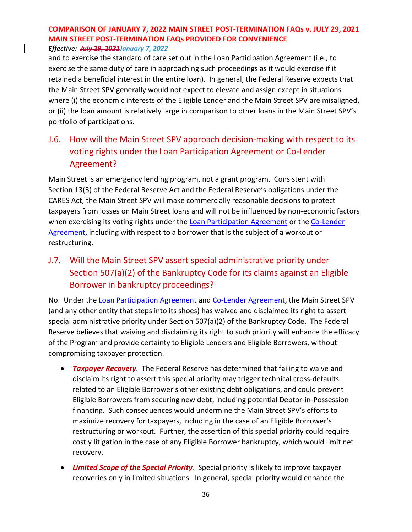and to exercise the standard of care set out in the Loan Participation Agreement (i.e., to exercise the same duty of care in approaching such proceedings as it would exercise if it retained a beneficial interest in the entire loan). In general, the Federal Reserve expects that the Main Street SPV generally would not expect to elevate and assign except in situations where (i) the economic interests of the Eligible Lender and the Main Street SPV are misaligned, or (ii) the loan amount is relatively large in comparison to other loans in the Main Street SPV's portfolio of participations.

## <span id="page-35-0"></span>J.6. How will the Main Street SPV approach decision-making with respect to its voting rights under the Loan Participation Agreement or Co-Lender Agreement?

Main Street is an emergency lending program, not a grant program. Consistent with Section 13(3) of the Federal Reserve Act and the Federal Reserve's obligations under the CARES Act, the Main Street SPV will make commercially reasonable decisions to protect taxpayers from losses on Main Street loans and will not be influenced by non-economic factors when exercising its voting rights under the [Loan Participation Agreement](https://www.bostonfed.org/-/media/Documents/special-lending-facilities/mslp/legal/loan-participation-agreement-standard-terms-and-conditions.pdf) or the Co-Lender [Agreement,](https://www.bostonfed.org/-/media/Documents/special-lending-facilities/mslp/legal/co-lender-agreement-standard-terms-and-conditions.pdf) including with respect to a borrower that is the subject of a workout or restructuring.

## J.7. Will the Main Street SPV assert special administrative priority under Section 507(a)(2) of the Bankruptcy Code for its claims against an Eligible Borrower in bankruptcy proceedings?

No. Under th[e Loan Participation Agreement](https://www.bostonfed.org/-/media/Documents/special-lending-facilities/mslp/legal/loan-participation-agreement-standard-terms-and-conditions.pdf) and [Co-Lender Agreement,](https://www.bostonfed.org/-/media/Documents/special-lending-facilities/mslp/legal/co-lender-agreement-standard-terms-and-conditions.pdf) the Main Street SPV (and any other entity that steps into its shoes) has waived and disclaimed its right to assert special administrative priority under Section 507(a)(2) of the Bankruptcy Code. The Federal Reserve believes that waiving and disclaiming its right to such priority will enhance the efficacy of the Program and provide certainty to Eligible Lenders and Eligible Borrowers, without compromising taxpayer protection.

- *Taxpayer Recovery.* The Federal Reserve has determined that failing to waive and disclaim its right to assert this special priority may trigger technical cross-defaults related to an Eligible Borrower's other existing debt obligations, and could prevent Eligible Borrowers from securing new debt, including potential Debtor-in-Possession financing. Such consequences would undermine the Main Street SPV's efforts to maximize recovery for taxpayers, including in the case of an Eligible Borrower's restructuring or workout. Further, the assertion of this special priority could require costly litigation in the case of any Eligible Borrower bankruptcy, which would limit net recovery.
- *Limited Scope of the Special Priority.* Special priority is likely to improve taxpayer recoveries only in limited situations. In general, special priority would enhance the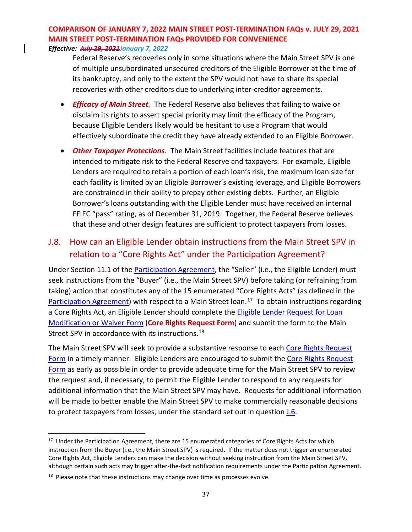Federal Reserve's recoveries only in some situations where the Main Street SPV is one of multiple unsubordinated unsecured creditors of the Eligible Borrower at the time of its bankruptcy, and only to the extent the SPV would not have to share its special recoveries with other creditors due to underlying inter-creditor agreements.

- *Efficacy of Main Street.* The Federal Reserve also believes that failing to waive or disclaim its rights to assert special priority may limit the efficacy of the Program, because Eligible Lenders likely would be hesitant to use a Program that would effectively subordinate the credit they have already extended to an Eligible Borrower.
- *Other Taxpayer Protections.* The Main Street facilities include features that are intended to mitigate risk to the Federal Reserve and taxpayers. For example, Eligible Lenders are required to retain a portion of each loan's risk, the maximum loan size for each facility is limited by an Eligible Borrower's existing leverage, and Eligible Borrowers are constrained in their ability to prepay other existing debts. Further, an Eligible Borrower's loans outstanding with the Eligible Lender must have received an internal FFIEC "pass" rating, as of December 31, 2019. Together, the Federal Reserve believes that these and other design features are sufficient to protect taxpayers from losses.

### <span id="page-36-2"></span>J.8. How can an Eligible Lender obtain instructions from the Main Street SPV in relation to a "Core Rights Act" under the Participation Agreement?

Under Section 11.1 of the [Participation Agreement,](https://www.bostonfed.org/-/media/Documents/special-lending-facilities/mslp/legal/loan-participation-agreement-standard-terms-and-conditions.pdf?la=en) the "Seller" (i.e., the Eligible Lender) must seek instructions from the "Buyer" (i.e., the Main Street SPV) before taking (or refraining from taking) action that constitutes any of the 15 enumerated "Core Rights Acts" (as defined in the [Participation Agreement\)](https://www.bostonfed.org/-/media/Documents/special-lending-facilities/mslp/legal/loan-participation-agreement-standard-terms-and-conditions.pdf?la=en) with respect to a Main Street loan.<sup>17</sup> To obtain instructions regarding a Core Rights Act, an Eligible Lender should complete the [Eligible Lender Request for Loan](https://www.bostonfed.org/-/media/Documents/special-lending-facilities/mslp/legal/loan-modification-form.docx)  [Modification or Waiver Form](https://www.bostonfed.org/-/media/Documents/special-lending-facilities/mslp/legal/loan-modification-form.docx) (**Core Rights Request Form**) and submit the form to the Main Street SPV in accordance with its instructions.<sup>18</sup>

The Main Street SPV will seek to provide a substantive response to each [Core Rights Request](https://www.bostonfed.org/-/media/Documents/special-lending-facilities/mslp/legal/loan-modification-form.docx)  [Form](https://www.bostonfed.org/-/media/Documents/special-lending-facilities/mslp/legal/loan-modification-form.docx) in a timely manner. Eligible Lenders are encouraged to submit th[e Core Rights Request](https://www.bostonfed.org/-/media/Documents/special-lending-facilities/mslp/legal/loan-modification-form.docx)  [Form](https://www.bostonfed.org/-/media/Documents/special-lending-facilities/mslp/legal/loan-modification-form.docx) as early as possible in order to provide adequate time for the Main Street SPV to review the request and, if necessary, to permit the Eligible Lender to respond to any requests for additional information that the Main Street SPV may have. Requests for additional information will be made to better enable the Main Street SPV to make commercially reasonable decisions to protect taxpayers from losses, under the standard set out in questio[n J.6.](#page-35-0)

<span id="page-36-0"></span><sup>&</sup>lt;sup>17</sup> Under the Participation Agreement, there are 15 enumerated categories of Core Rights Acts for which instruction from the Buyer (i.e., the Main Street SPV) is required. If the matter does not trigger an enumerated Core Rights Act, Eligible Lenders can make the decision without seeking instruction from the Main Street SPV, although certain such acts may trigger after-the-fact notification requirements under the Participation Agreement.

<span id="page-36-1"></span> $18$  Please note that these instructions may change over time as processes evolve.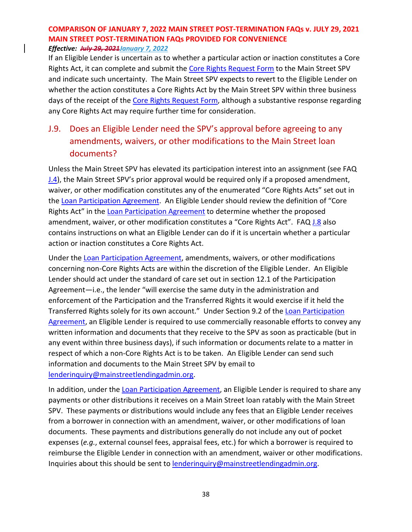If an Eligible Lender is uncertain as to whether a particular action or inaction constitutes a Core Rights Act, it can complete and submit the [Core Rights Request Form](https://www.bostonfed.org/-/media/Documents/special-lending-facilities/mslp/legal/loan-modification-form.docx) to the Main Street SPV and indicate such uncertainty. The Main Street SPV expects to revert to the Eligible Lender on whether the action constitutes a Core Rights Act by the Main Street SPV within three business days of the receipt of the [Core Rights Request Form,](https://www.bostonfed.org/-/media/Documents/special-lending-facilities/mslp/legal/loan-modification-form.docx) although a substantive response regarding any Core Rights Act may require further time for consideration.

## <span id="page-37-0"></span>J.9. Does an Eligible Lender need the SPV's approval before agreeing to any amendments, waivers, or other modifications to the Main Street loan documents?

Unless the Main Street SPV has elevated its participation interest into an assignment (see FAQ [J.4\)](#page-33-0), the Main Street SPV's prior approval would be required only if a proposed amendment, waiver, or other modification constitutes any of the enumerated "Core Rights Acts" set out in the [Loan Participation Agreement.](https://www.bostonfed.org/-/media/Documents/special-lending-facilities/mslp/legal/loan-participation-agreement-standard-terms-and-conditions.pdf?la=en) An Eligible Lender should review the definition of "Core Rights Act" in the [Loan Participation Agreement](https://www.bostonfed.org/-/media/Documents/special-lending-facilities/mslp/legal/loan-participation-agreement-standard-terms-and-conditions.pdf?la=en) to determine whether the proposed amendment, waiver, or other modification constitutes a "Core Rights Act". FAQ [J.8](#page-36-2) also contains instructions on what an Eligible Lender can do if it is uncertain whether a particular action or inaction constitutes a Core Rights Act.

Under the [Loan Participation Agreement,](https://www.bostonfed.org/-/media/Documents/special-lending-facilities/mslp/legal/loan-participation-agreement-standard-terms-and-conditions.pdf?la=en) amendments, waivers, or other modifications concerning non-Core Rights Acts are within the discretion of the Eligible Lender. An Eligible Lender should act under the standard of care set out in section 12.1 of the Participation Agreement—i.e., the lender "will exercise the same duty in the administration and enforcement of the Participation and the Transferred Rights it would exercise if it held the Transferred Rights solely for its own account." Under Section 9.2 of the [Loan Participation](https://www.bostonfed.org/-/media/Documents/special-lending-facilities/mslp/legal/loan-participation-agreement-standard-terms-and-conditions.pdf?la=en)  [Agreement,](https://www.bostonfed.org/-/media/Documents/special-lending-facilities/mslp/legal/loan-participation-agreement-standard-terms-and-conditions.pdf?la=en) an Eligible Lender is required to use commercially reasonable efforts to convey any written information and documents that they receive to the SPV as soon as practicable (but in any event within three business days), if such information or documents relate to a matter in respect of which a non-Core Rights Act is to be taken. An Eligible Lender can send such information and documents to the Main Street SPV by email to [lenderinquiry@mainstreetlendingadmin.org.](mailto:lenderinquiry@mainstreetlendingadmin.org)

In addition, under the [Loan Participation Agreement,](https://www.bostonfed.org/-/media/Documents/special-lending-facilities/mslp/legal/loan-participation-agreement-standard-terms-and-conditions.pdf?la=en) an Eligible Lender is required to share any payments or other distributions it receives on a Main Street loan ratably with the Main Street SPV. These payments or distributions would include any fees that an Eligible Lender receives from a borrower in connection with an amendment, waiver, or other modifications of loan documents. These payments and distributions generally do not include any out of pocket expenses (*e.g.*, external counsel fees, appraisal fees, etc.) for which a borrower is required to reimburse the Eligible Lender in connection with an amendment, waiver or other modifications. Inquiries about this should be sent to [lenderinquiry@mainstreetlendingadmin.org.](mailto:lenderinquiry@mainstreetlendingadmin.org)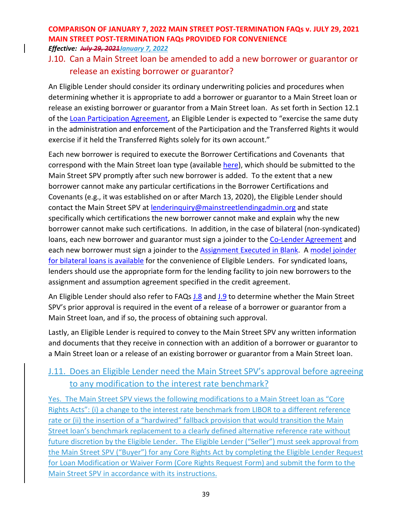### J.10. Can a Main Street loan be amended to add a new borrower or guarantor or release an existing borrower or guarantor?

An Eligible Lender should consider its ordinary underwriting policies and procedures when determining whether it is appropriate to add a borrower or guarantor to a Main Street loan or release an existing borrower or guarantor from a Main Street loan. As set forth in Section 12.1 of th[e Loan Participation Agreement,](https://www.bostonfed.org/-/media/Documents/special-lending-facilities/mslp/legal/loan-participation-agreement-standard-terms-and-conditions.pdf?la=en) an Eligible Lender is expected to "exercise the same duty in the administration and enforcement of the Participation and the Transferred Rights it would exercise if it held the Transferred Rights solely for its own account."

Each new borrower is required to execute the Borrower Certifications and Covenants that correspond with the Main Street loan type (available [here\)](https://www.bostonfed.org/supervision-and-regulation/credit/special-facilities/main-street-lending-program/docs.aspx), which should be submitted to the Main Street SPV promptly after such new borrower is added. To the extent that a new borrower cannot make any particular certifications in the Borrower Certifications and Covenants (e.g., it was established on or after March 13, 2020), the Eligible Lender should contact the Main Street SPV at [lenderinquiry@mainstreetlendingadmin.org](mailto:lenderinquiry@mainstreetlendingadmin.org) and state specifically which certifications the new borrower cannot make and explain why the new borrower cannot make such certifications. In addition, in the case of bilateral (non-syndicated) loans, each new borrower and guarantor must sign a joinder to the [Co-Lender Agreement](https://www.bostonfed.org/-/media/Documents/special-lending-facilities/mslp/legal/co-lender-agreement-standard-terms-and-conditions-historic-July312020.pdf?la=en) and each new borrower must sign a joinder to the [Assignment Executed in Blank.](https://www.bostonfed.org/-/media/Documents/special-lending-facilities/mslp/legal/assignment-in-blank-historic-July312020.pdf?la=en) A [model joinder](https://www.bostonfed.org/-/media/Documents/special-lending-facilities/mslp/legal/Model-Joinder-for-Main-Street-CoLender-and-AIB.docx)  [for bilateral loans is available](https://www.bostonfed.org/-/media/Documents/special-lending-facilities/mslp/legal/Model-Joinder-for-Main-Street-CoLender-and-AIB.docx) for the convenience of Eligible Lenders. For syndicated loans, lenders should use the appropriate form for the lending facility to join new borrowers to the assignment and assumption agreement specified in the credit agreement.

An Eligible Lender should also refer to FAQs [J.8](#page-36-2) and [J.9](#page-37-0) to determine whether the Main Street SPV's prior approval is required in the event of a release of a borrower or guarantor from a Main Street loan, and if so, the process of obtaining such approval.

Lastly, an Eligible Lender is required to convey to the Main Street SPV any written information and documents that they receive in connection with an addition of a borrower or guarantor to a Main Street loan or a release of an existing borrower or guarantor from a Main Street loan.

### J.11. Does an Eligible Lender need the Main Street SPV's approval before agreeing to any modification to the interest rate benchmark?

Yes. The Main Street SPV views the following modifications to a Main Street loan as "Core Rights Acts": (i) a change to the interest rate benchmark from LIBOR to a different reference rate or (ii) the insertion of a "hardwired" fallback provision that would transition the Main Street loan's benchmark replacement to a clearly defined alternative reference rate without future discretion by the Eligible Lender. The Eligible Lender ("Seller") must seek approval from the Main Street SPV ("Buyer") for any Core Rights Act by completing the [Eligible Lender Request](https://www.bostonfed.org/-/media/Documents/special-lending-facilities/mslp/legal/loan-modification-form.docx)  [for Loan Modification or Waiver Form](https://www.bostonfed.org/-/media/Documents/special-lending-facilities/mslp/legal/loan-modification-form.docx) (Core Rights Request Form) and submit the form to the Main Street SPV in accordance with its instructions.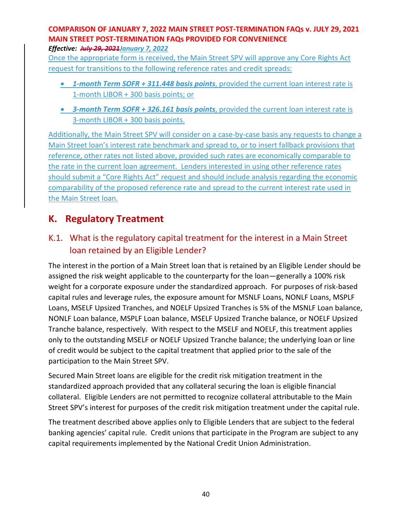*Effective: July 29, 2021January 7, 2022*

Once the appropriate form is received, the Main Street SPV will approve any Core Rights Act request for transitions to the following reference rates and credit spreads:

- *1-month Term SOFR + 311.448 basis points*, provided the current loan interest rate is 1-month LIBOR + 300 basis points; or
- *3-month Term SOFR + 326.161 basis points*, provided the current loan interest rate is 3-month LIBOR + 300 basis points.

Additionally, the Main Street SPV will consider on a case-by-case basis any requests to change a Main Street loan's interest rate benchmark and spread to, or to insert fallback provisions that reference, other rates not listed above, provided such rates are economically comparable to the rate in the current loan agreement. Lenders interested in using other reference rates should submit a "Core Rights Act" request and should include analysis regarding the economic comparability of the proposed reference rate and spread to the current interest rate used in the Main Street loan.

# **K. Regulatory Treatment**

## K.1. What is the regulatory capital treatment for the interest in a Main Street loan retained by an Eligible Lender?

The interest in the portion of a Main Street loan that is retained by an Eligible Lender should be assigned the risk weight applicable to the counterparty for the loan—generally a 100% risk weight for a corporate exposure under the standardized approach. For purposes of risk-based capital rules and leverage rules, the exposure amount for MSNLF Loans, NONLF Loans, MSPLF Loans, MSELF Upsized Tranches, and NOELF Upsized Tranches is 5% of the MSNLF Loan balance, NONLF Loan balance, MSPLF Loan balance, MSELF Upsized Tranche balance, or NOELF Upsized Tranche balance, respectively. With respect to the MSELF and NOELF, this treatment applies only to the outstanding MSELF or NOELF Upsized Tranche balance; the underlying loan or line of credit would be subject to the capital treatment that applied prior to the sale of the participation to the Main Street SPV.

Secured Main Street loans are eligible for the credit risk mitigation treatment in the standardized approach provided that any collateral securing the loan is eligible financial collateral. Eligible Lenders are not permitted to recognize collateral attributable to the Main Street SPV's interest for purposes of the credit risk mitigation treatment under the capital rule.

The treatment described above applies only to Eligible Lenders that are subject to the federal banking agencies' capital rule. Credit unions that participate in the Program are subject to any capital requirements implemented by the National Credit Union Administration.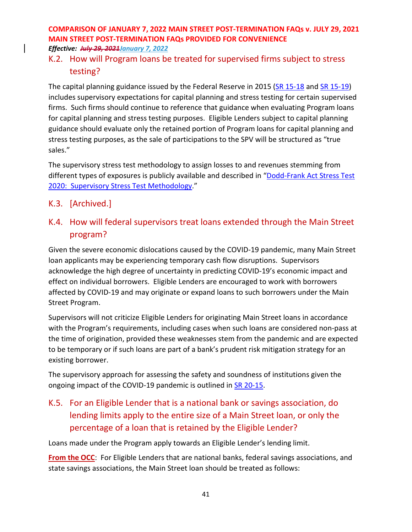### K.2. How will Program loans be treated for supervised firms subject to stress testing?

The capital planning guidance issued by the Federal Reserve in 2015 [\(SR 15-18](https://www.federalreserve.gov/supervisionreg/srletters/sr1518a1.pdf) and [SR 15-19\)](https://www.federalreserve.gov/supervisionreg/srletters/sr1519_PW.pdf) includes supervisory expectations for capital planning and stress testing for certain supervised firms. Such firms should continue to reference that guidance when evaluating Program loans for capital planning and stress testing purposes. Eligible Lenders subject to capital planning guidance should evaluate only the retained portion of Program loans for capital planning and stress testing purposes, as the sale of participations to the SPV will be structured as "true sales."

The supervisory stress test methodology to assign losses to and revenues stemming from different types of exposures is publicly available and described in ["Dodd-Frank Act Stress Test](https://www.federalreserve.gov/publications/files/2020-march-supervisory-stress-test-methodology.pdf)  [2020: Supervisory Stress Test Methodology.](https://www.federalreserve.gov/publications/files/2020-march-supervisory-stress-test-methodology.pdf)"

- K.3. [Archived.]
- K.4. How will federal supervisors treat loans extended through the Main Street program?

Given the severe economic dislocations caused by the COVID-19 pandemic, many Main Street loan applicants may be experiencing temporary cash flow disruptions. Supervisors acknowledge the high degree of uncertainty in predicting COVID-19's economic impact and effect on individual borrowers. Eligible Lenders are encouraged to work with borrowers affected by COVID-19 and may originate or expand loans to such borrowers under the Main Street Program.

Supervisors will not criticize Eligible Lenders for originating Main Street loans in accordance with the Program's requirements, including cases when such loans are considered non-pass at the time of origination, provided these weaknesses stem from the pandemic and are expected to be temporary or if such loans are part of a bank's prudent risk mitigation strategy for an existing borrower.

The supervisory approach for assessing the safety and soundness of institutions given the ongoing impact of the COVID-19 pandemic is outlined in **SR 20-15**.

## K.5. For an Eligible Lender that is a national bank or savings association, do lending limits apply to the entire size of a Main Street loan, or only the percentage of a loan that is retained by the Eligible Lender?

Loans made under the Program apply towards an Eligible Lender's lending limit.

**From the OCC**: For Eligible Lenders that are national banks, federal savings associations, and state savings associations, the Main Street loan should be treated as follows: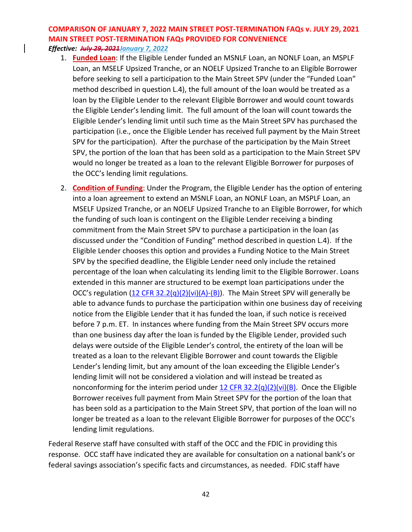- 1. **Funded Loan**: If the Eligible Lender funded an MSNLF Loan, an NONLF Loan, an MSPLF Loan, an MSELF Upsized Tranche, or an NOELF Upsized Tranche to an Eligible Borrower before seeking to sell a participation to the Main Street SPV (under the "Funded Loan" method described in question L.4), the full amount of the loan would be treated as a loan by the Eligible Lender to the relevant Eligible Borrower and would count towards the Eligible Lender's lending limit. The full amount of the loan will count towards the Eligible Lender's lending limit until such time as the Main Street SPV has purchased the participation (i.e., once the Eligible Lender has received full payment by the Main Street SPV for the participation). After the purchase of the participation by the Main Street SPV, the portion of the loan that has been sold as a participation to the Main Street SPV would no longer be treated as a loan to the relevant Eligible Borrower for purposes of the OCC's lending limit regulations.
- 2. **Condition of Funding**: Under the Program, the Eligible Lender has the option of entering into a loan agreement to extend an MSNLF Loan, an NONLF Loan, an MSPLF Loan, an MSELF Upsized Tranche, or an NOELF Upsized Tranche to an Eligible Borrower, for which the funding of such loan is contingent on the Eligible Lender receiving a binding commitment from the Main Street SPV to purchase a participation in the loan (as discussed under the "Condition of Funding" method described in question L.4). If the Eligible Lender chooses this option and provides a Funding Notice to the Main Street SPV by the specified deadline, the Eligible Lender need only include the retained percentage of the loan when calculating its lending limit to the Eligible Borrower. Loans extended in this manner are structured to be exempt loan participations under the OCC's regulation [\(12 CFR 32.2\(q\)\(2\)\(vi\)\(A\)-\(B\)\)](https://gov.ecfr.io/cgi-bin/text-idx?SID=6aead790ea6b72c81017a1e87c3b5072&mc=true&node=se12.1.32_12&rgn=div8). The Main Street SPV will generally be able to advance funds to purchase the participation within one business day of receiving notice from the Eligible Lender that it has funded the loan, if such notice is received before 7 p.m. ET. In instances where funding from the Main Street SPV occurs more than one business day after the loan is funded by the Eligible Lender, provided such delays were outside of the Eligible Lender's control, the entirety of the loan will be treated as a loan to the relevant Eligible Borrower and count towards the Eligible Lender's lending limit, but any amount of the loan exceeding the Eligible Lender's lending limit will not be considered a violation and will instead be treated as nonconforming for the interim period under  $12$  CFR  $32.2(q)(2)(vi)(B)$ . Once the Eligible Borrower receives full payment from Main Street SPV for the portion of the loan that has been sold as a participation to the Main Street SPV, that portion of the loan will no longer be treated as a loan to the relevant Eligible Borrower for purposes of the OCC's lending limit regulations.

Federal Reserve staff have consulted with staff of the OCC and the FDIC in providing this response. OCC staff have indicated they are available for consultation on a national bank's or federal savings association's specific facts and circumstances, as needed. FDIC staff have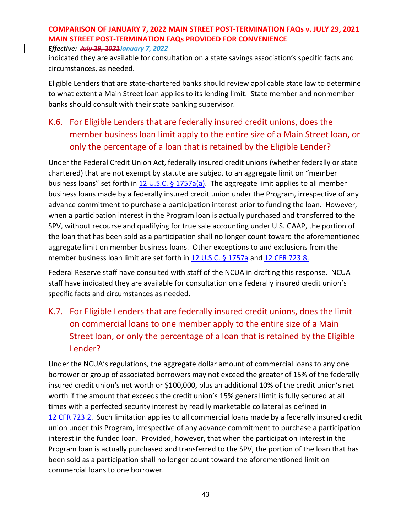indicated they are available for consultation on a state savings association's specific facts and circumstances, as needed.

Eligible Lenders that are state-chartered banks should review applicable state law to determine to what extent a Main Street loan applies to its lending limit. State member and nonmember banks should consult with their state banking supervisor.

## K.6. For Eligible Lenders that are federally insured credit unions, does the member business loan limit apply to the entire size of a Main Street loan, or only the percentage of a loan that is retained by the Eligible Lender?

Under the Federal Credit Union Act, federally insured credit unions (whether federally or state chartered) that are not exempt by statute are subject to an aggregate limit on "member business loans" set forth in [12 U.S.C. § 1757a\(a\).](https://uscode.house.gov/view.xhtml?req=(title:12%20section:1757a%20edition:prelim)%20OR%20(granuleid:USC-prelim-title12-section1757a)&f=treesort&edition=prelim&num=0&jumpTo=true) The aggregate limit applies to all member business loans made by a federally insured credit union under the Program, irrespective of any advance commitment to purchase a participation interest prior to funding the loan. However, when a participation interest in the Program loan is actually purchased and transferred to the SPV, without recourse and qualifying for true sale accounting under U.S. GAAP, the portion of the loan that has been sold as a participation shall no longer count toward the aforementioned aggregate limit on member business loans. Other exceptions to and exclusions from the member business loan limit are set forth in [12 U.S.C. §](https://uscode.house.gov/view.xhtml?req=(title:12%20section:1757a%20edition:prelim)%20OR%20(granuleid:USC-prelim-title12-section1757a)&f=treesort&edition=prelim&num=0&jumpTo=true) 1757a and [12 CFR 723.8.](https://ecfr.io/Title-12/Section-723.2)

Federal Reserve staff have consulted with staff of the NCUA in drafting this response. NCUA staff have indicated they are available for consultation on a federally insured credit union's specific facts and circumstances as needed.

## K.7. For Eligible Lenders that are federally insured credit unions, does the limit on commercial loans to one member apply to the entire size of a Main Street loan, or only the percentage of a loan that is retained by the Eligible Lender?

Under the NCUA's regulations, the aggregate dollar amount of commercial loans to any one borrower or group of associated borrowers may not exceed the greater of 15% of the federally insured credit union's net worth or \$100,000, plus an additional 10% of the credit union's net worth if the amount that exceeds the credit union's 15% general limit is fully secured at all times with a perfected security interest by readily marketable collateral as defined in 12 CFR [723.2.](https://ecfr.io/Title-12/Section-723.2) Such limitation applies to all commercial loans made by a federally insured credit union under this Program, irrespective of any advance commitment to purchase a participation interest in the funded loan. Provided, however, that when the participation interest in the Program loan is actually purchased and transferred to the SPV, the portion of the loan that has been sold as a participation shall no longer count toward the aforementioned limit on commercial loans to one borrower.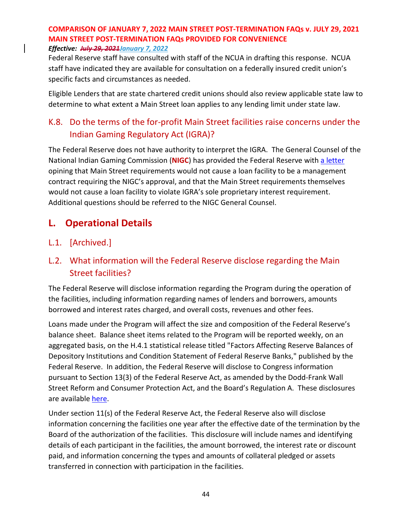Federal Reserve staff have consulted with staff of the NCUA in drafting this response. NCUA staff have indicated they are available for consultation on a federally insured credit union's specific facts and circumstances as needed.

Eligible Lenders that are state chartered credit unions should also review applicable state law to determine to what extent a Main Street loan applies to any lending limit under state law.

## K.8. Do the terms of the for-profit Main Street facilities raise concerns under the Indian Gaming Regulatory Act (IGRA)?

The Federal Reserve does not have authority to interpret the IGRA. The General Counsel of the National Indian Gaming Commission (**NIGC**) has provided the Federal Reserve with [a letter](https://www.bostonfed.org/-/media/Documents/special-lending-facilities/mslp/legal/20201006-NIGC-General-Counsel-Ltr-re-Main-Street-Lending-Program.pdf) opining that Main Street requirements would not cause a loan facility to be a management contract requiring the NIGC's approval, and that the Main Street requirements themselves would not cause a loan facility to violate IGRA's sole proprietary interest requirement. Additional questions should be referred to the NIGC General Counsel.

## **L. Operational Details**

### L.1. [Archived.]

### L.2. What information will the Federal Reserve disclose regarding the Main Street facilities?

The Federal Reserve will disclose information regarding the Program during the operation of the facilities, including information regarding names of lenders and borrowers, amounts borrowed and interest rates charged, and overall costs, revenues and other fees.

Loans made under the Program will affect the size and composition of the Federal Reserve's balance sheet. Balance sheet items related to the Program will be reported weekly, on an aggregated basis, on the H.4.1 statistical release titled "Factors Affecting Reserve Balances of Depository Institutions and Condition Statement of Federal Reserve Banks," published by the Federal Reserve. In addition, the Federal Reserve will disclose to Congress information pursuant to Section 13(3) of the Federal Reserve Act, as amended by the Dodd-Frank Wall Street Reform and Consumer Protection Act, and the Board's Regulation A. These disclosures are available [here.](https://www.federalreserve.gov/monetarypolicy/mainstreetlending.htm)

Under section 11(s) of the Federal Reserve Act, the Federal Reserve also will disclose information concerning the facilities one year after the effective date of the termination by the Board of the authorization of the facilities. This disclosure will include names and identifying details of each participant in the facilities, the amount borrowed, the interest rate or discount paid, and information concerning the types and amounts of collateral pledged or assets transferred in connection with participation in the facilities.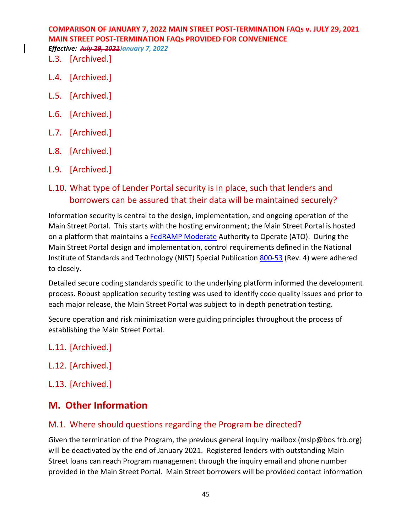- L.3. [Archived.]
- L.4. [Archived.]
- L.5. [Archived.]
- L.6. [Archived.]
- L.7. [Archived.]
- L.8. [Archived.]
- L.9. [Archived.]

### L.10. What type of Lender Portal security is in place, such that lenders and borrowers can be assured that their data will be maintained securely?

Information security is central to the design, implementation, and ongoing operation of the Main Street Portal. This starts with the hosting environment; the Main Street Portal is hosted on a platform that maintains a [FedRAMP Moderate](https://www.fedramp.gov/documents/) Authority to Operate (ATO). During the Main Street Portal design and implementation, control requirements defined in the National Institute of Standards and Technology (NIST) Special Publication [800-53](https://csrc.nist.gov/publications/detail/sp/800-53/rev-4/final) (Rev. 4) were adhered to closely.

Detailed secure coding standards specific to the underlying platform informed the development process. Robust application security testing was used to identify code quality issues and prior to each major release, the Main Street Portal was subject to in depth penetration testing.

Secure operation and risk minimization were guiding principles throughout the process of establishing the Main Street Portal.

- L.11. [Archived.]
- L.12. [Archived.]
- L.13. [Archived.]

### **M. Other Information**

### M.1. Where should questions regarding the Program be directed?

Given the termination of the Program, the previous general inquiry mailbox (mslp@bos.frb.org) will be deactivated by the end of January 2021. Registered lenders with outstanding Main Street loans can reach Program management through the inquiry email and phone number provided in the Main Street Portal. Main Street borrowers will be provided contact information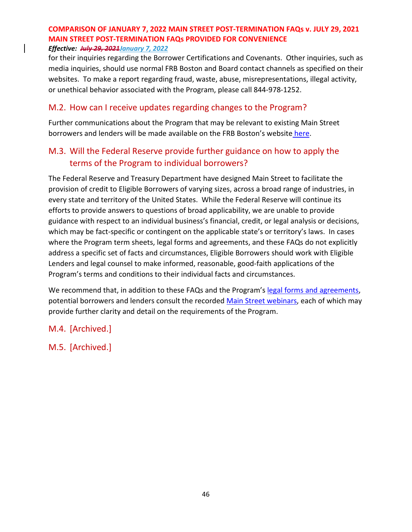for their inquiries regarding the Borrower Certifications and Covenants. Other inquiries, such as media inquiries, should use normal FRB Boston and Board contact channels as specified on their websites. To make a report regarding fraud, waste, abuse, misrepresentations, illegal activity, or unethical behavior associated with the Program, please call 844-978-1252.

### M.2. How can I receive updates regarding changes to the Program?

Further communications about the Program that may be relevant to existing Main Street borrowers and lenders will be made available on the FRB Boston's website [here.](https://www.bostonfed.org/supervision-and-regulation/supervision/special-facilities/main-street-lending-program.aspx#ic_signupform)

### M.3. Will the Federal Reserve provide further guidance on how to apply the terms of the Program to individual borrowers?

The Federal Reserve and Treasury Department have designed Main Street to facilitate the provision of credit to Eligible Borrowers of varying sizes, across a broad range of industries, in every state and territory of the United States. While the Federal Reserve will continue its efforts to provide answers to questions of broad applicability, we are unable to provide guidance with respect to an individual business's financial, credit, or legal analysis or decisions, which may be fact-specific or contingent on the applicable state's or territory's laws. In cases where the Program term sheets, legal forms and agreements, and these FAQs do not explicitly address a specific set of facts and circumstances, Eligible Borrowers should work with Eligible Lenders and legal counsel to make informed, reasonable, good-faith applications of the Program's terms and conditions to their individual facts and circumstances.

We recommend that, in addition to these FAQs and the Program's [legal forms and agreements,](https://www.bostonfed.org/supervision-and-regulation/supervision/special-facilities/main-street-lending-program/information-for-lenders/docs.aspx) potential borrowers and lenders consult the recorded [Main Street webinars,](https://www.bostonfed.org/supervision-and-regulation/supervision/special-facilities/main-street-lending-program.aspx#events) each of which may provide further clarity and detail on the requirements of the Program.

### M.4. [Archived.]

M.5. [Archived.]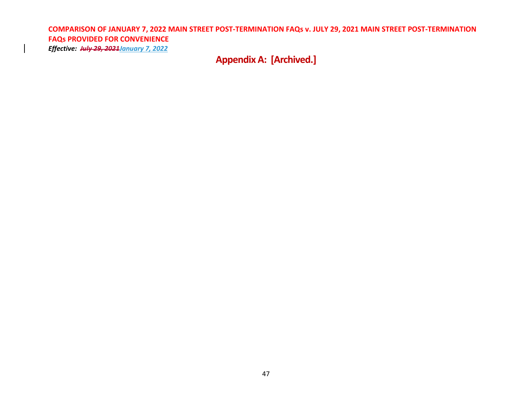*Effective: July 29, 2021January 7, 2022*

**Appendix A: [Archived.]**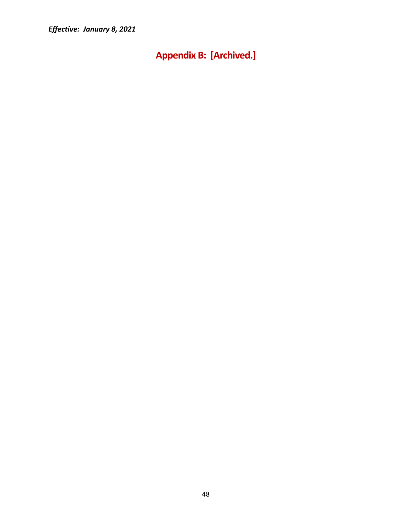<span id="page-47-0"></span>**Appendix B: [Archived.]**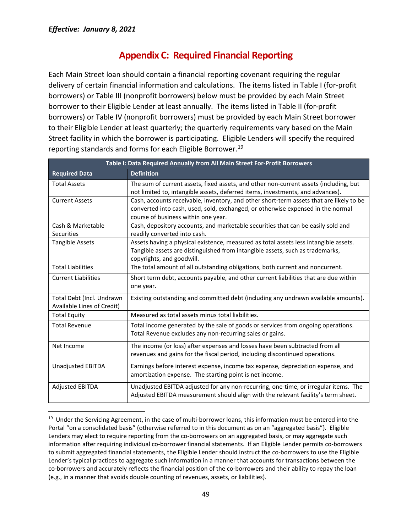## **Appendix C: Required Financial Reporting**

<span id="page-48-0"></span>Each Main Street loan should contain a financial reporting covenant requiring the regular delivery of certain financial information and calculations. The items listed in Table I (for-profit borrowers) or Table III (nonprofit borrowers) below must be provided by each Main Street borrower to their Eligible Lender at least annually. The items listed in Table II (for-profit borrowers) or Table IV (nonprofit borrowers) must be provided by each Main Street borrower to their Eligible Lender at least quarterly; the quarterly requirements vary based on the Main Street facility in which the borrower is participating. Eligible Lenders will specify the required reporting standards and forms for each Eligible Borrower.[19](#page-48-1)

| Table I: Data Required Annually from All Main Street For-Profit Borrowers |                                                                                                                                                                                                                   |  |  |  |  |
|---------------------------------------------------------------------------|-------------------------------------------------------------------------------------------------------------------------------------------------------------------------------------------------------------------|--|--|--|--|
| <b>Required Data</b>                                                      | <b>Definition</b>                                                                                                                                                                                                 |  |  |  |  |
| <b>Total Assets</b>                                                       | The sum of current assets, fixed assets, and other non-current assets (including, but<br>not limited to, intangible assets, deferred items, investments, and advances).                                           |  |  |  |  |
| <b>Current Assets</b>                                                     | Cash, accounts receivable, inventory, and other short-term assets that are likely to be<br>converted into cash, used, sold, exchanged, or otherwise expensed in the normal<br>course of business within one year. |  |  |  |  |
| Cash & Marketable<br>Securities                                           | Cash, depository accounts, and marketable securities that can be easily sold and<br>readily converted into cash.                                                                                                  |  |  |  |  |
| <b>Tangible Assets</b>                                                    | Assets having a physical existence, measured as total assets less intangible assets.<br>Tangible assets are distinguished from intangible assets, such as trademarks,<br>copyrights, and goodwill.                |  |  |  |  |
| <b>Total Liabilities</b>                                                  | The total amount of all outstanding obligations, both current and noncurrent.                                                                                                                                     |  |  |  |  |
| <b>Current Liabilities</b>                                                | Short term debt, accounts payable, and other current liabilities that are due within<br>one year.                                                                                                                 |  |  |  |  |
| Total Debt (Incl. Undrawn<br>Available Lines of Credit)                   | Existing outstanding and committed debt (including any undrawn available amounts).                                                                                                                                |  |  |  |  |
| <b>Total Equity</b>                                                       | Measured as total assets minus total liabilities.                                                                                                                                                                 |  |  |  |  |
| <b>Total Revenue</b>                                                      | Total income generated by the sale of goods or services from ongoing operations.<br>Total Revenue excludes any non-recurring sales or gains.                                                                      |  |  |  |  |
| Net Income                                                                | The income (or loss) after expenses and losses have been subtracted from all<br>revenues and gains for the fiscal period, including discontinued operations.                                                      |  |  |  |  |
| <b>Unadjusted EBITDA</b>                                                  | Earnings before interest expense, income tax expense, depreciation expense, and<br>amortization expense. The starting point is net income.                                                                        |  |  |  |  |
| <b>Adjusted EBITDA</b>                                                    | Unadjusted EBITDA adjusted for any non-recurring, one-time, or irregular items. The<br>Adjusted EBITDA measurement should align with the relevant facility's term sheet.                                          |  |  |  |  |

<span id="page-48-1"></span><sup>&</sup>lt;sup>19</sup> Under the Servicing Agreement, in the case of multi-borrower loans, this information must be entered into the Portal "on a consolidated basis" (otherwise referred to in this document as on an "aggregated basis"). Eligible Lenders may elect to require reporting from the co-borrowers on an aggregated basis, or may aggregate such information after requiring individual co-borrower financial statements. If an Eligible Lender permits co-borrowers to submit aggregated financial statements, the Eligible Lender should instruct the co-borrowers to use the Eligible Lender's typical practices to aggregate such information in a manner that accounts for transactions between the co-borrowers and accurately reflects the financial position of the co-borrowers and their ability to repay the loan (e.g., in a manner that avoids double counting of revenues, assets, or liabilities).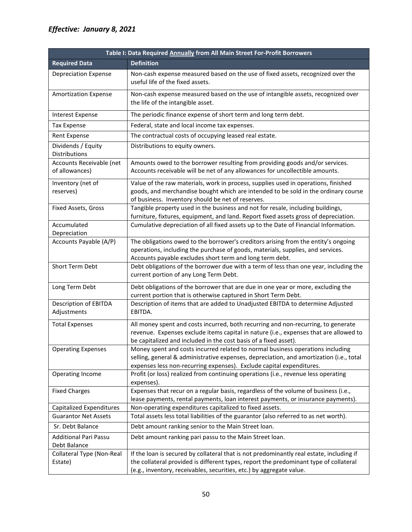| Table I: Data Required Annually from All Main Street For-Profit Borrowers |                                                                                                                                                                                                                                                           |  |  |  |  |
|---------------------------------------------------------------------------|-----------------------------------------------------------------------------------------------------------------------------------------------------------------------------------------------------------------------------------------------------------|--|--|--|--|
| <b>Required Data</b>                                                      | <b>Definition</b>                                                                                                                                                                                                                                         |  |  |  |  |
| <b>Depreciation Expense</b>                                               | Non-cash expense measured based on the use of fixed assets, recognized over the<br>useful life of the fixed assets.                                                                                                                                       |  |  |  |  |
| <b>Amortization Expense</b>                                               | Non-cash expense measured based on the use of intangible assets, recognized over<br>the life of the intangible asset.                                                                                                                                     |  |  |  |  |
| <b>Interest Expense</b>                                                   | The periodic finance expense of short term and long term debt.                                                                                                                                                                                            |  |  |  |  |
| <b>Tax Expense</b>                                                        | Federal, state and local income tax expenses.                                                                                                                                                                                                             |  |  |  |  |
| Rent Expense                                                              | The contractual costs of occupying leased real estate.                                                                                                                                                                                                    |  |  |  |  |
| Dividends / Equity<br>Distributions                                       | Distributions to equity owners.                                                                                                                                                                                                                           |  |  |  |  |
| Accounts Receivable (net<br>of allowances)                                | Amounts owed to the borrower resulting from providing goods and/or services.<br>Accounts receivable will be net of any allowances for uncollectible amounts.                                                                                              |  |  |  |  |
| Inventory (net of<br>reserves)                                            | Value of the raw materials, work in process, supplies used in operations, finished<br>goods, and merchandise bought which are intended to be sold in the ordinary course<br>of business. Inventory should be net of reserves.                             |  |  |  |  |
| Fixed Assets, Gross                                                       | Tangible property used in the business and not for resale, including buildings,<br>furniture, fixtures, equipment, and land. Report fixed assets gross of depreciation.                                                                                   |  |  |  |  |
| Accumulated<br>Depreciation                                               | Cumulative depreciation of all fixed assets up to the Date of Financial Information.                                                                                                                                                                      |  |  |  |  |
| Accounts Payable (A/P)                                                    | The obligations owed to the borrower's creditors arising from the entity's ongoing<br>operations, including the purchase of goods, materials, supplies, and services.<br>Accounts payable excludes short term and long term debt.                         |  |  |  |  |
| Short Term Debt                                                           | Debt obligations of the borrower due with a term of less than one year, including the<br>current portion of any Long Term Debt.                                                                                                                           |  |  |  |  |
| Long Term Debt                                                            | Debt obligations of the borrower that are due in one year or more, excluding the<br>current portion that is otherwise captured in Short Term Debt.                                                                                                        |  |  |  |  |
| Description of EBITDA<br>Adjustments                                      | Description of items that are added to Unadjusted EBITDA to determine Adjusted<br>EBITDA.                                                                                                                                                                 |  |  |  |  |
| <b>Total Expenses</b>                                                     | All money spent and costs incurred, both recurring and non-recurring, to generate<br>revenue. Expenses exclude items capital in nature (i.e., expenses that are allowed to<br>be capitalized and included in the cost basis of a fixed asset).            |  |  |  |  |
| <b>Operating Expenses</b>                                                 | Money spent and costs incurred related to normal business operations including<br>selling, general & administrative expenses, depreciation, and amortization (i.e., total<br>expenses less non-recurring expenses). Exclude capital expenditures.         |  |  |  |  |
| Operating Income                                                          | Profit (or loss) realized from continuing operations (i.e., revenue less operating<br>expenses).                                                                                                                                                          |  |  |  |  |
| <b>Fixed Charges</b>                                                      | Expenses that recur on a regular basis, regardless of the volume of business (i.e.,<br>lease payments, rental payments, loan interest payments, or insurance payments).                                                                                   |  |  |  |  |
| <b>Capitalized Expenditures</b>                                           | Non-operating expenditures capitalized to fixed assets.                                                                                                                                                                                                   |  |  |  |  |
| <b>Guarantor Net Assets</b>                                               | Total assets less total liabilities of the guarantor (also referred to as net worth).                                                                                                                                                                     |  |  |  |  |
| Sr. Debt Balance                                                          | Debt amount ranking senior to the Main Street loan.                                                                                                                                                                                                       |  |  |  |  |
| <b>Additional Pari Passu</b><br>Debt Balance                              | Debt amount ranking pari passu to the Main Street loan.                                                                                                                                                                                                   |  |  |  |  |
| Collateral Type (Non-Real<br>Estate)                                      | If the loan is secured by collateral that is not predominantly real estate, including if<br>the collateral provided is different types, report the predominant type of collateral<br>(e.g., inventory, receivables, securities, etc.) by aggregate value. |  |  |  |  |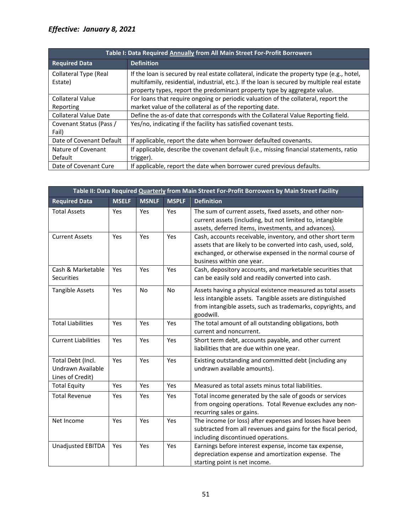| Table I: Data Required Annually from All Main Street For-Profit Borrowers |                                                                                                                                                                                                                                                                       |  |  |  |
|---------------------------------------------------------------------------|-----------------------------------------------------------------------------------------------------------------------------------------------------------------------------------------------------------------------------------------------------------------------|--|--|--|
| <b>Required Data</b>                                                      | <b>Definition</b>                                                                                                                                                                                                                                                     |  |  |  |
| Collateral Type (Real<br>Estate)                                          | If the loan is secured by real estate collateral, indicate the property type (e.g., hotel,<br>multifamily, residential, industrial, etc.). If the loan is secured by multiple real estate<br>property types, report the predominant property type by aggregate value. |  |  |  |
| <b>Collateral Value</b><br>Reporting                                      | For loans that require ongoing or periodic valuation of the collateral, report the<br>market value of the collateral as of the reporting date.                                                                                                                        |  |  |  |
| <b>Collateral Value Date</b>                                              | Define the as-of date that corresponds with the Collateral Value Reporting field.                                                                                                                                                                                     |  |  |  |
| Covenant Status (Pass /<br>Fail)                                          | Yes/no, indicating if the facility has satisfied covenant tests.                                                                                                                                                                                                      |  |  |  |
| Date of Covenant Default                                                  | If applicable, report the date when borrower defaulted covenants.                                                                                                                                                                                                     |  |  |  |
| Nature of Covenant<br>Default                                             | If applicable, describe the covenant default (i.e., missing financial statements, ratio<br>trigger).                                                                                                                                                                  |  |  |  |
| Date of Covenant Cure                                                     | If applicable, report the date when borrower cured previous defaults.                                                                                                                                                                                                 |  |  |  |

| Table II: Data Required Quarterly from Main Street For-Profit Borrowers by Main Street Facility |              |              |              |                                                                                                                                                                                                                      |
|-------------------------------------------------------------------------------------------------|--------------|--------------|--------------|----------------------------------------------------------------------------------------------------------------------------------------------------------------------------------------------------------------------|
| <b>Required Data</b>                                                                            | <b>MSELF</b> | <b>MSNLF</b> | <b>MSPLF</b> | <b>Definition</b>                                                                                                                                                                                                    |
| <b>Total Assets</b>                                                                             | Yes          | Yes          | Yes          | The sum of current assets, fixed assets, and other non-<br>current assets (including, but not limited to, intangible<br>assets, deferred items, investments, and advances).                                          |
| <b>Current Assets</b>                                                                           | Yes          | Yes          | Yes          | Cash, accounts receivable, inventory, and other short term<br>assets that are likely to be converted into cash, used, sold,<br>exchanged, or otherwise expensed in the normal course of<br>business within one year. |
| Cash & Marketable<br><b>Securities</b>                                                          | Yes          | Yes          | Yes          | Cash, depository accounts, and marketable securities that<br>can be easily sold and readily converted into cash.                                                                                                     |
| <b>Tangible Assets</b>                                                                          | Yes          | <b>No</b>    | <b>No</b>    | Assets having a physical existence measured as total assets<br>less intangible assets. Tangible assets are distinguished<br>from intangible assets, such as trademarks, copyrights, and<br>goodwill.                 |
| <b>Total Liabilities</b>                                                                        | Yes          | Yes          | Yes          | The total amount of all outstanding obligations, both<br>current and noncurrent.                                                                                                                                     |
| <b>Current Liabilities</b>                                                                      | Yes          | Yes          | Yes          | Short term debt, accounts payable, and other current<br>liabilities that are due within one year.                                                                                                                    |
| Total Debt (Incl.<br>Undrawn Available<br>Lines of Credit)                                      | Yes          | Yes          | Yes          | Existing outstanding and committed debt (including any<br>undrawn available amounts).                                                                                                                                |
| <b>Total Equity</b>                                                                             | Yes          | Yes          | Yes          | Measured as total assets minus total liabilities.                                                                                                                                                                    |
| <b>Total Revenue</b>                                                                            | Yes          | Yes          | Yes          | Total income generated by the sale of goods or services<br>from ongoing operations. Total Revenue excludes any non-<br>recurring sales or gains.                                                                     |
| Net Income                                                                                      | Yes          | Yes          | Yes          | The income (or loss) after expenses and losses have been<br>subtracted from all revenues and gains for the fiscal period,<br>including discontinued operations.                                                      |
| Unadjusted EBITDA                                                                               | Yes          | Yes          | Yes          | Earnings before interest expense, income tax expense,<br>depreciation expense and amortization expense. The<br>starting point is net income.                                                                         |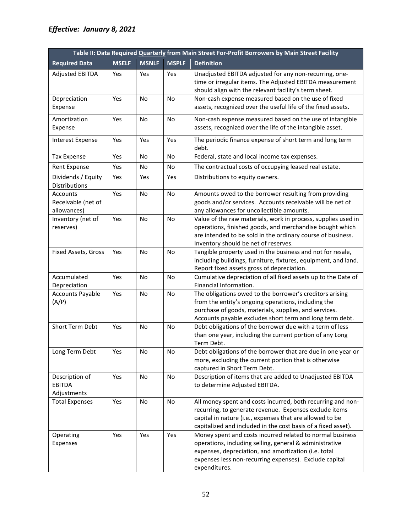|                                                | Table II: Data Required Quarterly from Main Street For-Profit Borrowers by Main Street Facility |              |              |                                                                                                                                                                                                                                                         |  |
|------------------------------------------------|-------------------------------------------------------------------------------------------------|--------------|--------------|---------------------------------------------------------------------------------------------------------------------------------------------------------------------------------------------------------------------------------------------------------|--|
| <b>Required Data</b>                           | <b>MSELF</b>                                                                                    | <b>MSNLF</b> | <b>MSPLF</b> | <b>Definition</b>                                                                                                                                                                                                                                       |  |
| <b>Adjusted EBITDA</b>                         | <b>Yes</b>                                                                                      | Yes          | Yes          | Unadjusted EBITDA adjusted for any non-recurring, one-<br>time or irregular items. The Adjusted EBITDA measurement<br>should align with the relevant facility's term sheet.                                                                             |  |
| Depreciation<br>Expense                        | Yes                                                                                             | No           | No           | Non-cash expense measured based on the use of fixed<br>assets, recognized over the useful life of the fixed assets.                                                                                                                                     |  |
| Amortization<br>Expense                        | Yes                                                                                             | <b>No</b>    | <b>No</b>    | Non-cash expense measured based on the use of intangible<br>assets, recognized over the life of the intangible asset.                                                                                                                                   |  |
| <b>Interest Expense</b>                        | Yes                                                                                             | Yes          | Yes          | The periodic finance expense of short term and long term<br>debt.                                                                                                                                                                                       |  |
| <b>Tax Expense</b>                             | Yes                                                                                             | No           | No           | Federal, state and local income tax expenses.                                                                                                                                                                                                           |  |
| <b>Rent Expense</b>                            | Yes                                                                                             | No           | No           | The contractual costs of occupying leased real estate.                                                                                                                                                                                                  |  |
| Dividends / Equity<br>Distributions            | Yes                                                                                             | Yes          | Yes          | Distributions to equity owners.                                                                                                                                                                                                                         |  |
| Accounts<br>Receivable (net of<br>allowances)  | Yes                                                                                             | No           | No           | Amounts owed to the borrower resulting from providing<br>goods and/or services. Accounts receivable will be net of<br>any allowances for uncollectible amounts.                                                                                         |  |
| Inventory (net of<br>reserves)                 | Yes                                                                                             | No           | No           | Value of the raw materials, work in process, supplies used in<br>operations, finished goods, and merchandise bought which<br>are intended to be sold in the ordinary course of business.<br>Inventory should be net of reserves.                        |  |
| Fixed Assets, Gross                            | Yes                                                                                             | <b>No</b>    | <b>No</b>    | Tangible property used in the business and not for resale,<br>including buildings, furniture, fixtures, equipment, and land.<br>Report fixed assets gross of depreciation.                                                                              |  |
| Accumulated<br>Depreciation                    | Yes                                                                                             | <b>No</b>    | <b>No</b>    | Cumulative depreciation of all fixed assets up to the Date of<br>Financial Information.                                                                                                                                                                 |  |
| <b>Accounts Payable</b><br>(A/P)               | Yes                                                                                             | No           | No           | The obligations owed to the borrower's creditors arising<br>from the entity's ongoing operations, including the<br>purchase of goods, materials, supplies, and services.<br>Accounts payable excludes short term and long term debt.                    |  |
| Short Term Debt                                | Yes                                                                                             | <b>No</b>    | <b>No</b>    | Debt obligations of the borrower due with a term of less<br>than one year, including the current portion of any Long<br>Term Debt.                                                                                                                      |  |
| Long Term Debt                                 | Yes                                                                                             | No           | No           | Debt obligations of the borrower that are due in one year or<br>more, excluding the current portion that is otherwise<br>captured in Short Term Debt.                                                                                                   |  |
| Description of<br><b>EBITDA</b><br>Adjustments | Yes                                                                                             | No           | No           | Description of items that are added to Unadjusted EBITDA<br>to determine Adjusted EBITDA.                                                                                                                                                               |  |
| <b>Total Expenses</b>                          | Yes                                                                                             | No           | No           | All money spent and costs incurred, both recurring and non-<br>recurring, to generate revenue. Expenses exclude items<br>capital in nature (i.e., expenses that are allowed to be<br>capitalized and included in the cost basis of a fixed asset).      |  |
| Operating<br>Expenses                          | Yes                                                                                             | Yes          | Yes          | Money spent and costs incurred related to normal business<br>operations, including selling, general & administrative<br>expenses, depreciation, and amortization (i.e. total<br>expenses less non-recurring expenses). Exclude capital<br>expenditures. |  |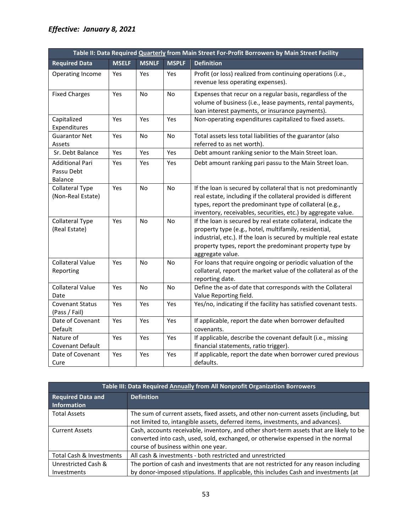| Table II: Data Required Quarterly from Main Street For-Profit Borrowers by Main Street Facility |              |              |              |                                                                                                                                                                                                                                                                             |
|-------------------------------------------------------------------------------------------------|--------------|--------------|--------------|-----------------------------------------------------------------------------------------------------------------------------------------------------------------------------------------------------------------------------------------------------------------------------|
| <b>Required Data</b>                                                                            | <b>MSELF</b> | <b>MSNLF</b> | <b>MSPLF</b> | <b>Definition</b>                                                                                                                                                                                                                                                           |
| Operating Income                                                                                | Yes          | Yes          | Yes          | Profit (or loss) realized from continuing operations (i.e.,<br>revenue less operating expenses).                                                                                                                                                                            |
| <b>Fixed Charges</b>                                                                            | Yes          | <b>No</b>    | <b>No</b>    | Expenses that recur on a regular basis, regardless of the<br>volume of business (i.e., lease payments, rental payments,<br>loan interest payments, or insurance payments).                                                                                                  |
| Capitalized<br>Expenditures                                                                     | Yes          | Yes          | Yes          | Non-operating expenditures capitalized to fixed assets.                                                                                                                                                                                                                     |
| <b>Guarantor Net</b><br>Assets                                                                  | Yes          | No           | No           | Total assets less total liabilities of the guarantor (also<br>referred to as net worth).                                                                                                                                                                                    |
| Sr. Debt Balance                                                                                | Yes          | Yes          | Yes          | Debt amount ranking senior to the Main Street loan.                                                                                                                                                                                                                         |
| Additional Pari<br>Passu Debt<br><b>Balance</b>                                                 | Yes          | Yes          | Yes          | Debt amount ranking pari passu to the Main Street loan.                                                                                                                                                                                                                     |
| <b>Collateral Type</b><br>(Non-Real Estate)                                                     | Yes          | No           | <b>No</b>    | If the loan is secured by collateral that is not predominantly<br>real estate, including if the collateral provided is different<br>types, report the predominant type of collateral (e.g.,<br>inventory, receivables, securities, etc.) by aggregate value.                |
| <b>Collateral Type</b><br>(Real Estate)                                                         | Yes          | No.          | No           | If the loan is secured by real estate collateral, indicate the<br>property type (e.g., hotel, multifamily, residential,<br>industrial, etc.). If the loan is secured by multiple real estate<br>property types, report the predominant property type by<br>aggregate value. |
| <b>Collateral Value</b><br>Reporting                                                            | Yes          | No.          | No           | For loans that require ongoing or periodic valuation of the<br>collateral, report the market value of the collateral as of the<br>reporting date.                                                                                                                           |
| <b>Collateral Value</b><br>Date                                                                 | Yes          | No.          | No           | Define the as-of date that corresponds with the Collateral<br>Value Reporting field.                                                                                                                                                                                        |
| <b>Covenant Status</b><br>(Pass / Fail)                                                         | Yes          | Yes          | Yes          | Yes/no, indicating if the facility has satisfied covenant tests.                                                                                                                                                                                                            |
| Date of Covenant<br>Default                                                                     | Yes          | Yes          | Yes          | If applicable, report the date when borrower defaulted<br>covenants.                                                                                                                                                                                                        |
| Nature of<br>Covenant Default                                                                   | Yes          | Yes          | Yes          | If applicable, describe the covenant default (i.e., missing<br>financial statements, ratio trigger).                                                                                                                                                                        |
| Date of Covenant<br>Cure                                                                        | Yes          | Yes          | Yes          | If applicable, report the date when borrower cured previous<br>defaults.                                                                                                                                                                                                    |

| Table III: Data Required Annually from All Nonprofit Organization Borrowers |                                                                                         |  |  |  |
|-----------------------------------------------------------------------------|-----------------------------------------------------------------------------------------|--|--|--|
| <b>Required Data and</b><br>Information                                     | <b>Definition</b>                                                                       |  |  |  |
| <b>Total Assets</b>                                                         | The sum of current assets, fixed assets, and other non-current assets (including, but   |  |  |  |
|                                                                             | not limited to, intangible assets, deferred items, investments, and advances).          |  |  |  |
| <b>Current Assets</b>                                                       | Cash, accounts receivable, inventory, and other short-term assets that are likely to be |  |  |  |
|                                                                             | converted into cash, used, sold, exchanged, or otherwise expensed in the normal         |  |  |  |
|                                                                             | course of business within one year.                                                     |  |  |  |
| Total Cash & Investments                                                    | All cash & investments - both restricted and unrestricted                               |  |  |  |
| Unrestricted Cash &                                                         | The portion of cash and investments that are not restricted for any reason including    |  |  |  |
| Investments                                                                 | by donor-imposed stipulations. If applicable, this includes Cash and investments (at    |  |  |  |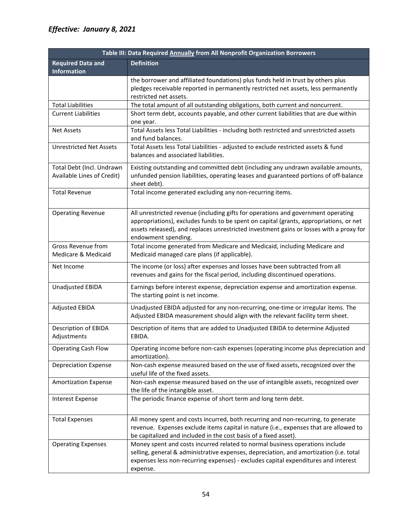| Table III: Data Required Annually from All Nonprofit Organization Borrowers |                                                                                                                                                                                                                                                                                               |  |  |  |  |
|-----------------------------------------------------------------------------|-----------------------------------------------------------------------------------------------------------------------------------------------------------------------------------------------------------------------------------------------------------------------------------------------|--|--|--|--|
| <b>Required Data and</b><br><b>Information</b>                              | <b>Definition</b>                                                                                                                                                                                                                                                                             |  |  |  |  |
|                                                                             | the borrower and affiliated foundations) plus funds held in trust by others plus<br>pledges receivable reported in permanently restricted net assets, less permanently<br>restricted net assets.                                                                                              |  |  |  |  |
| <b>Total Liabilities</b>                                                    | The total amount of all outstanding obligations, both current and noncurrent.                                                                                                                                                                                                                 |  |  |  |  |
| <b>Current Liabilities</b>                                                  | Short term debt, accounts payable, and other current liabilities that are due within<br>one year.                                                                                                                                                                                             |  |  |  |  |
| <b>Net Assets</b>                                                           | Total Assets less Total Liabilities - including both restricted and unrestricted assets<br>and fund balances.                                                                                                                                                                                 |  |  |  |  |
| <b>Unrestricted Net Assets</b>                                              | Total Assets less Total Liabilities - adjusted to exclude restricted assets & fund<br>balances and associated liabilities.                                                                                                                                                                    |  |  |  |  |
| Total Debt (Incl. Undrawn<br>Available Lines of Credit)                     | Existing outstanding and committed debt (including any undrawn available amounts,<br>unfunded pension liabilities, operating leases and guaranteed portions of off-balance<br>sheet debt).                                                                                                    |  |  |  |  |
| <b>Total Revenue</b>                                                        | Total income generated excluding any non-recurring items.                                                                                                                                                                                                                                     |  |  |  |  |
| <b>Operating Revenue</b>                                                    | All unrestricted revenue (including gifts for operations and government operating<br>appropriations), excludes funds to be spent on capital (grants, appropriations, or net<br>assets released), and replaces unrestricted investment gains or losses with a proxy for<br>endowment spending. |  |  |  |  |
| Gross Revenue from<br>Medicare & Medicaid                                   | Total income generated from Medicare and Medicaid, including Medicare and<br>Medicaid managed care plans (if applicable).                                                                                                                                                                     |  |  |  |  |
| Net Income                                                                  | The income (or loss) after expenses and losses have been subtracted from all<br>revenues and gains for the fiscal period, including discontinued operations.                                                                                                                                  |  |  |  |  |
| Unadjusted EBIDA                                                            | Earnings before interest expense, depreciation expense and amortization expense.<br>The starting point is net income.                                                                                                                                                                         |  |  |  |  |
| <b>Adjusted EBIDA</b>                                                       | Unadjusted EBIDA adjusted for any non-recurring, one-time or irregular items. The<br>Adjusted EBIDA measurement should align with the relevant facility term sheet.                                                                                                                           |  |  |  |  |
| Description of EBIDA<br>Adjustments                                         | Description of items that are added to Unadjusted EBIDA to determine Adjusted<br>EBIDA.                                                                                                                                                                                                       |  |  |  |  |
| <b>Operating Cash Flow</b>                                                  | Operating income before non-cash expenses (operating income plus depreciation and<br>amortization).                                                                                                                                                                                           |  |  |  |  |
| <b>Depreciation Expense</b>                                                 | Non-cash expense measured based on the use of fixed assets, recognized over the<br>useful life of the fixed assets.                                                                                                                                                                           |  |  |  |  |
| <b>Amortization Expense</b>                                                 | Non-cash expense measured based on the use of intangible assets, recognized over<br>the life of the intangible asset.                                                                                                                                                                         |  |  |  |  |
| <b>Interest Expense</b>                                                     | The periodic finance expense of short term and long term debt.                                                                                                                                                                                                                                |  |  |  |  |
| <b>Total Expenses</b>                                                       | All money spent and costs incurred, both recurring and non-recurring, to generate<br>revenue. Expenses exclude items capital in nature (i.e., expenses that are allowed to<br>be capitalized and included in the cost basis of a fixed asset).                                                |  |  |  |  |
| <b>Operating Expenses</b>                                                   | Money spent and costs incurred related to normal business operations include<br>selling, general & administrative expenses, depreciation, and amortization (i.e. total<br>expenses less non-recurring expenses) - excludes capital expenditures and interest<br>expense.                      |  |  |  |  |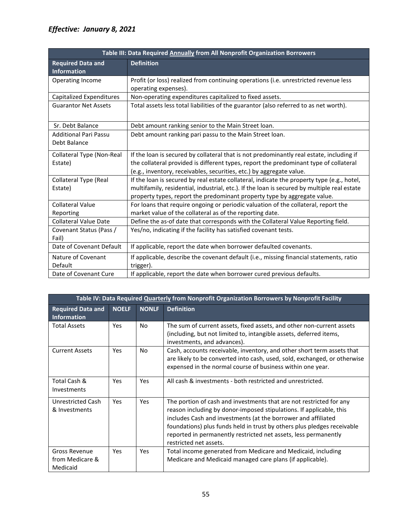| Table III: Data Required Annually from All Nonprofit Organization Borrowers |                                                                                                                                                                         |  |  |  |
|-----------------------------------------------------------------------------|-------------------------------------------------------------------------------------------------------------------------------------------------------------------------|--|--|--|
| <b>Required Data and</b><br><b>Information</b>                              | <b>Definition</b>                                                                                                                                                       |  |  |  |
| Operating Income                                                            | Profit (or loss) realized from continuing operations (i.e. unrestricted revenue less<br>operating expenses).                                                            |  |  |  |
| Capitalized Expenditures                                                    | Non-operating expenditures capitalized to fixed assets.                                                                                                                 |  |  |  |
| <b>Guarantor Net Assets</b>                                                 | Total assets less total liabilities of the guarantor (also referred to as net worth).                                                                                   |  |  |  |
| Sr. Debt Balance                                                            | Debt amount ranking senior to the Main Street loan.                                                                                                                     |  |  |  |
| <b>Additional Pari Passu</b><br>Debt Balance                                | Debt amount ranking pari passu to the Main Street loan.                                                                                                                 |  |  |  |
| Collateral Type (Non-Real                                                   | If the loan is secured by collateral that is not predominantly real estate, including if                                                                                |  |  |  |
| Estate)                                                                     | the collateral provided is different types, report the predominant type of collateral<br>(e.g., inventory, receivables, securities, etc.) by aggregate value.           |  |  |  |
| <b>Collateral Type (Real</b>                                                | If the loan is secured by real estate collateral, indicate the property type (e.g., hotel,                                                                              |  |  |  |
| Estate)                                                                     | multifamily, residential, industrial, etc.). If the loan is secured by multiple real estate<br>property types, report the predominant property type by aggregate value. |  |  |  |
| <b>Collateral Value</b>                                                     | For loans that require ongoing or periodic valuation of the collateral, report the                                                                                      |  |  |  |
| Reporting                                                                   | market value of the collateral as of the reporting date.                                                                                                                |  |  |  |
| <b>Collateral Value Date</b>                                                | Define the as-of date that corresponds with the Collateral Value Reporting field.                                                                                       |  |  |  |
| Covenant Status (Pass /<br>Fail)                                            | Yes/no, indicating if the facility has satisfied covenant tests.                                                                                                        |  |  |  |
| Date of Covenant Default                                                    | If applicable, report the date when borrower defaulted covenants.                                                                                                       |  |  |  |
| Nature of Covenant                                                          | If applicable, describe the covenant default (i.e., missing financial statements, ratio                                                                                 |  |  |  |
| Default                                                                     | trigger).                                                                                                                                                               |  |  |  |
| Date of Covenant Cure                                                       | If applicable, report the date when borrower cured previous defaults.                                                                                                   |  |  |  |

|                                                     | Table IV: Data Required Quarterly from Nonprofit Organization Borrowers by Nonprofit Facility |              |                                                                                                                                                                                                                                                                                                                                                                                     |  |  |
|-----------------------------------------------------|-----------------------------------------------------------------------------------------------|--------------|-------------------------------------------------------------------------------------------------------------------------------------------------------------------------------------------------------------------------------------------------------------------------------------------------------------------------------------------------------------------------------------|--|--|
| <b>Required Data and</b><br><b>Information</b>      | <b>NOELF</b>                                                                                  | <b>NONLF</b> | <b>Definition</b>                                                                                                                                                                                                                                                                                                                                                                   |  |  |
| <b>Total Assets</b>                                 | <b>Yes</b>                                                                                    | No           | The sum of current assets, fixed assets, and other non-current assets<br>(including, but not limited to, intangible assets, deferred items,<br>investments, and advances).                                                                                                                                                                                                          |  |  |
| <b>Current Assets</b>                               | Yes                                                                                           | No           | Cash, accounts receivable, inventory, and other short term assets that<br>are likely to be converted into cash, used, sold, exchanged, or otherwise<br>expensed in the normal course of business within one year.                                                                                                                                                                   |  |  |
| Total Cash &<br>Investments                         | Yes                                                                                           | Yes          | All cash & investments - both restricted and unrestricted.                                                                                                                                                                                                                                                                                                                          |  |  |
| Unrestricted Cash<br>& Investments                  | <b>Yes</b>                                                                                    | <b>Yes</b>   | The portion of cash and investments that are not restricted for any<br>reason including by donor-imposed stipulations. If applicable, this<br>includes Cash and investments (at the borrower and affiliated<br>foundations) plus funds held in trust by others plus pledges receivable<br>reported in permanently restricted net assets, less permanently<br>restricted net assets. |  |  |
| <b>Gross Revenue</b><br>from Medicare &<br>Medicaid | <b>Yes</b>                                                                                    | Yes          | Total income generated from Medicare and Medicaid, including<br>Medicare and Medicaid managed care plans (if applicable).                                                                                                                                                                                                                                                           |  |  |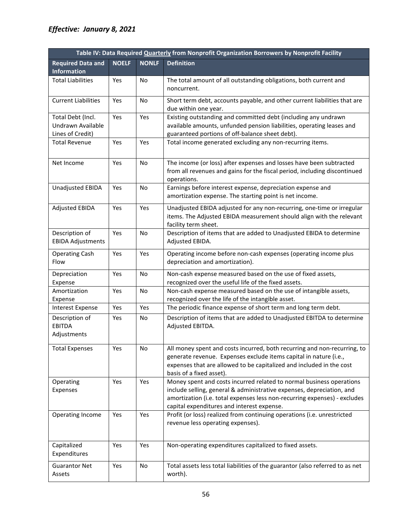| Table IV: Data Required Quarterly from Nonprofit Organization Borrowers by Nonprofit Facility |              |              |                                                                                                                                                                                                                                                                          |  |
|-----------------------------------------------------------------------------------------------|--------------|--------------|--------------------------------------------------------------------------------------------------------------------------------------------------------------------------------------------------------------------------------------------------------------------------|--|
| <b>Required Data and</b>                                                                      | <b>NOELF</b> | <b>NONLF</b> | <b>Definition</b>                                                                                                                                                                                                                                                        |  |
| <b>Information</b>                                                                            |              |              |                                                                                                                                                                                                                                                                          |  |
| <b>Total Liabilities</b>                                                                      | Yes          | No           | The total amount of all outstanding obligations, both current and<br>noncurrent.                                                                                                                                                                                         |  |
| <b>Current Liabilities</b>                                                                    | Yes          | No           | Short term debt, accounts payable, and other current liabilities that are<br>due within one year.                                                                                                                                                                        |  |
| Total Debt (Incl.<br>Undrawn Available<br>Lines of Credit)                                    | Yes          | Yes          | Existing outstanding and committed debt (including any undrawn<br>available amounts, unfunded pension liabilities, operating leases and<br>guaranteed portions of off-balance sheet debt).                                                                               |  |
| <b>Total Revenue</b>                                                                          | Yes          | Yes          | Total income generated excluding any non-recurring items.                                                                                                                                                                                                                |  |
| Net Income                                                                                    | Yes          | No           | The income (or loss) after expenses and losses have been subtracted<br>from all revenues and gains for the fiscal period, including discontinued<br>operations.                                                                                                          |  |
| <b>Unadjusted EBIDA</b>                                                                       | Yes          | No           | Earnings before interest expense, depreciation expense and<br>amortization expense. The starting point is net income.                                                                                                                                                    |  |
| Adjusted EBIDA                                                                                | Yes          | Yes          | Unadjusted EBIDA adjusted for any non-recurring, one-time or irregular<br>items. The Adjusted EBIDA measurement should align with the relevant<br>facility term sheet.                                                                                                   |  |
| Description of<br><b>EBIDA Adjustments</b>                                                    | Yes          | No           | Description of items that are added to Unadjusted EBIDA to determine<br>Adjusted EBIDA.                                                                                                                                                                                  |  |
| <b>Operating Cash</b><br>Flow                                                                 | Yes          | Yes          | Operating income before non-cash expenses (operating income plus<br>depreciation and amortization).                                                                                                                                                                      |  |
| Depreciation<br>Expense                                                                       | Yes          | No           | Non-cash expense measured based on the use of fixed assets,<br>recognized over the useful life of the fixed assets.                                                                                                                                                      |  |
| Amortization<br>Expense                                                                       | Yes          | No           | Non-cash expense measured based on the use of intangible assets,<br>recognized over the life of the intangible asset.                                                                                                                                                    |  |
| <b>Interest Expense</b>                                                                       | Yes          | Yes          | The periodic finance expense of short term and long term debt.                                                                                                                                                                                                           |  |
| Description of<br><b>EBITDA</b><br>Adjustments                                                | Yes          | No           | Description of items that are added to Unadjusted EBITDA to determine<br>Adjusted EBITDA.                                                                                                                                                                                |  |
| <b>Total Expenses</b>                                                                         | Yes          | No           | All money spent and costs incurred, both recurring and non-recurring, to<br>generate revenue. Expenses exclude items capital in nature (i.e.,<br>expenses that are allowed to be capitalized and included in the cost<br>basis of a fixed asset).                        |  |
| Operating<br>Expenses                                                                         | Yes          | Yes          | Money spent and costs incurred related to normal business operations<br>include selling, general & administrative expenses, depreciation, and<br>amortization (i.e. total expenses less non-recurring expenses) - excludes<br>capital expenditures and interest expense. |  |
| Operating Income                                                                              | Yes          | Yes          | Profit (or loss) realized from continuing operations (i.e. unrestricted<br>revenue less operating expenses).                                                                                                                                                             |  |
| Capitalized<br>Expenditures                                                                   | Yes          | Yes          | Non-operating expenditures capitalized to fixed assets.                                                                                                                                                                                                                  |  |
| <b>Guarantor Net</b><br>Assets                                                                | Yes          | No           | Total assets less total liabilities of the guarantor (also referred to as net<br>worth).                                                                                                                                                                                 |  |